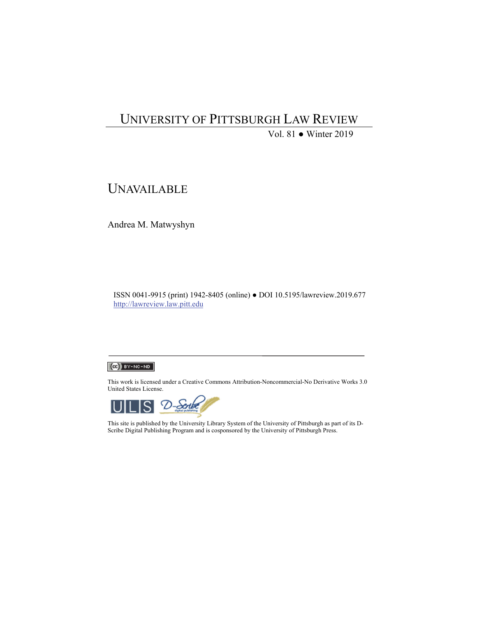# UNIVERSITY OF PITTSBURGH LAW REVIEW

Vol. 81 ● Winter 2019

# UNAVAILABLE

Andrea M. Matwyshyn

ISSN 0041-9915 (print) 1942-8405 (online) ● DOI 10.5195/lawreview.2019.677 http://lawreview.law.pitt.edu

#### $(Cc)$  BY-NC-ND

This work is licensed under a Creative Commons Attribution-Noncommercial-No Derivative Works 3.0 United States License.



This site is published by the University Library System of the University of Pittsburgh as part of its D-Scribe Digital Publishing Program and is cosponsored by the University of Pittsburgh Press.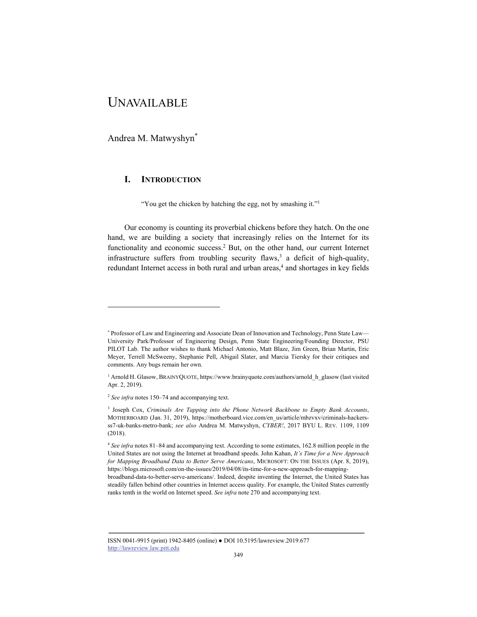# UNAVAILABLE

Andrea M. Matwyshyn\*

l

## **I. INTRODUCTION**

"You get the chicken by hatching the egg, not by smashing it."<sup>1</sup>

Our economy is counting its proverbial chickens before they hatch. On the one hand, we are building a society that increasingly relies on the Internet for its functionality and economic success.<sup>2</sup> But, on the other hand, our current Internet infrastructure suffers from troubling security flaws,<sup>3</sup> a deficit of high-quality, redundant Internet access in both rural and urban areas,<sup>4</sup> and shortages in key fields

<sup>\*</sup> Professor of Law and Engineering and Associate Dean of Innovation and Technology, Penn State Law— University Park/Professor of Engineering Design, Penn State Engineering/Founding Director, PSU PILOT Lab. The author wishes to thank Michael Antonio, Matt Blaze, Jim Green, Brian Martin, Eric Meyer, Terrell McSweeny, Stephanie Pell, Abigail Slater, and Marcia Tiersky for their critiques and comments. Any bugs remain her own.

<sup>&</sup>lt;sup>1</sup> Arnold H. Glasow, BRAINYQUOTE, https://www.brainyquote.com/authors/arnold h glasow (last visited Apr. 2, 2019).

<sup>2</sup> *See infra* notes 150–74 and accompanying text.

<sup>3</sup> Joseph Cox, *Criminals Are Tapping into the Phone Network Backbone to Empty Bank Accounts*, MOTHERBOARD (Jan. 31, 2019), https://motherboard.vice.com/en\_us/article/mbzvxv/criminals-hackersss7-uk-banks-metro-bank; *see also* Andrea M. Matwyshyn, *CYBER!*, 2017 BYU L. REV. 1109, 1109 (2018).

<sup>4</sup> *See infra* notes 81–84 and accompanying text. According to some estimates, 162.8 million people in the United States are not using the Internet at broadband speeds. John Kahan, *It's Time for a New Approach for Mapping Broadband Data to Better Serve Americans*, MICROSOFT: ON THE ISSUES (Apr. 8, 2019), https://blogs.microsoft.com/on-the-issues/2019/04/08/its-time-for-a-new-approach-for-mappingbroadband-data-to-better-serve-americans/. Indeed, despite inventing the Internet, the United States has steadily fallen behind other countries in Internet access quality. For example, the United States currently ranks tenth in the world on Internet speed. *See infra* note 270 and accompanying text.

ISSN 0041-9915 (print) 1942-8405 (online) ● DOI 10.5195/lawreview.2019.677 http://lawreview.law.pitt.edu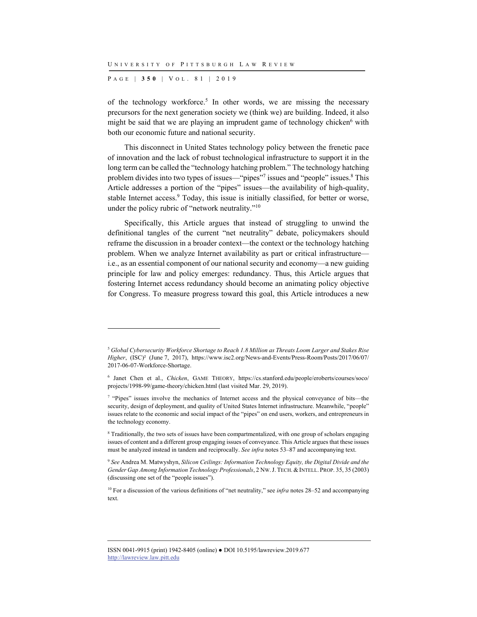P AGE | **350** | V O L . 8 1 | 2019

l

of the technology workforce.<sup>5</sup> In other words, we are missing the necessary precursors for the next generation society we (think we) are building. Indeed, it also might be said that we are playing an imprudent game of technology chicken<sup>6</sup> with both our economic future and national security.

This disconnect in United States technology policy between the frenetic pace of innovation and the lack of robust technological infrastructure to support it in the long term can be called the "technology hatching problem." The technology hatching problem divides into two types of issues—"pipes"<sup>7</sup> issues and "people" issues.<sup>8</sup> This Article addresses a portion of the "pipes" issues—the availability of high-quality, stable Internet access.<sup>9</sup> Today, this issue is initially classified, for better or worse, under the policy rubric of "network neutrality."10

Specifically, this Article argues that instead of struggling to unwind the definitional tangles of the current "net neutrality" debate, policymakers should reframe the discussion in a broader context—the context or the technology hatching problem. When we analyze Internet availability as part or critical infrastructure i.e., as an essential component of our national security and economy—a new guiding principle for law and policy emerges: redundancy. Thus, this Article argues that fostering Internet access redundancy should become an animating policy objective for Congress. To measure progress toward this goal, this Article introduces a new

<sup>8</sup> Traditionally, the two sets of issues have been compartmentalized, with one group of scholars engaging issues of content and a different group engaging issues of conveyance. This Article argues that these issues must be analyzed instead in tandem and reciprocally. *See infra* notes 53–87 and accompanying text.

<sup>9</sup> *See* Andrea M. Matwyshyn, *Silicon Ceilings: Information Technology Equity, the Digital Divide and the Gender Gap Among Information Technology Professionals*, 2 NW.J. TECH. &INTELL. PROP. 35, 35 (2003) (discussing one set of the "people issues").

<sup>10</sup> For a discussion of the various definitions of "net neutrality," see *infra* notes 28–52 and accompanying text.

<sup>5</sup> *Global Cybersecurity Workforce Shortage to Reach 1.8 Million as Threats Loom Larger and Stakes Rise Higher*, (ISC)² (June 7, 2017), https://www.isc2.org/News-and-Events/Press-Room/Posts/2017/06/07/ 2017-06-07-Workforce-Shortage.

<sup>6</sup> Janet Chen et al., *Chicken*, GAME THEORY, https://cs.stanford.edu/people/eroberts/courses/soco/ projects/1998-99/game-theory/chicken.html (last visited Mar. 29, 2019).

<sup>&</sup>lt;sup>7</sup> "Pipes" issues involve the mechanics of Internet access and the physical conveyance of bits—the security, design of deployment, and quality of United States Internet infrastructure. Meanwhile, "people" issues relate to the economic and social impact of the "pipes" on end users, workers, and entrepreneurs in the technology economy.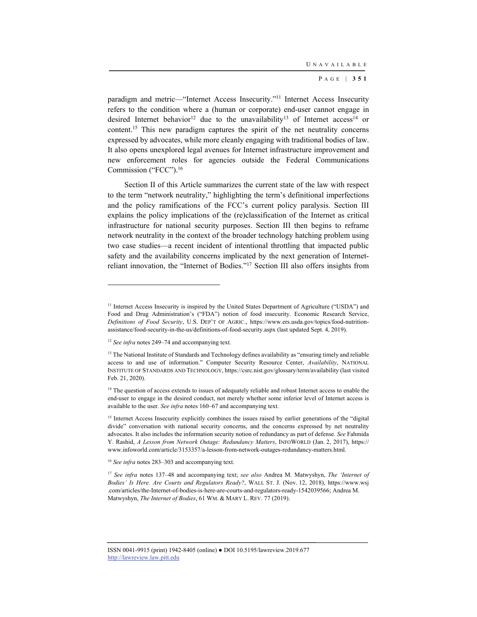paradigm and metric—"Internet Access Insecurity."11 Internet Access Insecurity refers to the condition where a (human or corporate) end-user cannot engage in desired Internet behavior<sup>12</sup> due to the unavailability<sup>13</sup> of Internet access<sup>14</sup> or content.15 This new paradigm captures the spirit of the net neutrality concerns expressed by advocates, while more cleanly engaging with traditional bodies of law. It also opens unexplored legal avenues for Internet infrastructure improvement and new enforcement roles for agencies outside the Federal Communications Commission ("FCC").16

Section II of this Article summarizes the current state of the law with respect to the term "network neutrality," highlighting the term's definitional imperfections and the policy ramifications of the FCC's current policy paralysis. Section III explains the policy implications of the (re)classification of the Internet as critical infrastructure for national security purposes. Section III then begins to reframe network neutrality in the context of the broader technology hatching problem using two case studies—a recent incident of intentional throttling that impacted public safety and the availability concerns implicated by the next generation of Internetreliant innovation, the "Internet of Bodies."17 Section III also offers insights from

<sup>&</sup>lt;sup>11</sup> Internet Access Insecurity is inspired by the United States Department of Agriculture ("USDA") and Food and Drug Administration's ("FDA") notion of food insecurity. Economic Research Service, *Definitions of Food Security*, U.S. DEP'T OF AGRIC., https://www.ers.usda.gov/topics/food-nutritionassistance/food-security-in-the-us/definitions-of-food-security.aspx (last updated Sept. 4, 2019).

<sup>12</sup> *See infra* notes 249–74 and accompanying text.

<sup>&</sup>lt;sup>13</sup> The National Institute of Standards and Technology defines availability as "ensuring timely and reliable access to and use of information." Computer Security Resource Center, *Availability*, NATIONAL INSTITUTE OF STANDARDS AND TECHNOLOGY, https://csrc.nist.gov/glossary/term/availability (last visited Feb. 21, 2020).

<sup>&</sup>lt;sup>14</sup> The question of access extends to issues of adequately reliable and robust Internet access to enable the end-user to engage in the desired conduct, not merely whether some inferior level of Internet access is available to the user. *See infra* notes 160–67 and accompanying text.

<sup>&</sup>lt;sup>15</sup> Internet Access Insecurity explicitly combines the issues raised by earlier generations of the "digital divide" conversation with national security concerns, and the concerns expressed by net neutrality advocates. It also includes the information security notion of redundancy as part of defense. *See* Fahmida Y. Rashid, *A Lesson from Network Outage: Redundancy Matters*, INFOWORLD (Jan. 2, 2017), https:// www.infoworld.com/article/3153357/a-lesson-from-network-outages-redundancy-matters.html.

<sup>16</sup> *See infra* notes 283–303 and accompanying text.

<sup>17</sup> *See infra* notes 137–48 and accompanying text; *see also* Andrea M. Matwyshyn, *The 'Internet of Bodies' Is Here. Are Courts and Regulators Ready?*, WALL ST. J. (Nov. 12, 2018), https://www.wsj .com/articles/the-Internet-of-bodies-is-here-are-courts-and-regulators-ready-1542039566; Andrea M. Matwyshyn, *The Internet of Bodies*, 61 WM. & MARY L. REV. 77 (2019).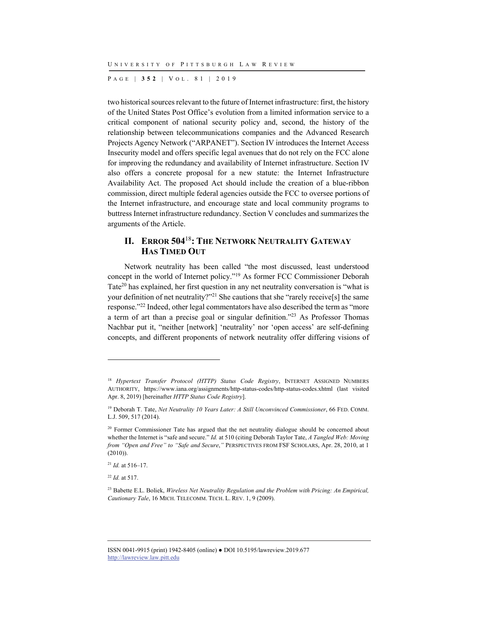P AGE | **352** | V O L . 8 1 | 2019

two historical sources relevant to the future of Internet infrastructure: first, the history of the United States Post Office's evolution from a limited information service to a critical component of national security policy and, second, the history of the relationship between telecommunications companies and the Advanced Research Projects Agency Network ("ARPANET"). Section IV introduces the Internet Access Insecurity model and offers specific legal avenues that do not rely on the FCC alone for improving the redundancy and availability of Internet infrastructure. Section IV also offers a concrete proposal for a new statute: the Internet Infrastructure Availability Act. The proposed Act should include the creation of a blue-ribbon commission, direct multiple federal agencies outside the FCC to oversee portions of the Internet infrastructure, and encourage state and local community programs to buttress Internet infrastructure redundancy. Section V concludes and summarizes the arguments of the Article.

## **II. ERROR 504**<sup>18</sup>**: THE NETWORK NEUTRALITY GATEWAY HAS TIMED OUT**

Network neutrality has been called "the most discussed, least understood concept in the world of Internet policy."19 As former FCC Commissioner Deborah Tate<sup>20</sup> has explained, her first question in any net neutrality conversation is "what is your definition of net neutrality?"<sup>21</sup> She cautions that she "rarely receive[s] the same response."22 Indeed, other legal commentators have also described the term as "more a term of art than a precise goal or singular definition."23 As Professor Thomas Nachbar put it, "neither [network] 'neutrality' nor 'open access' are self-defining concepts, and different proponents of network neutrality offer differing visions of

<sup>22</sup> *Id.* at 517.

<sup>18</sup> *Hypertext Transfer Protocol (HTTP) Status Code Registry*, INTERNET ASSIGNED NUMBERS AUTHORITY, https://www.iana.org/assignments/http-status-codes/http-status-codes.xhtml (last visited Apr. 8, 2019) [hereinafter *HTTP Status Code Registry*].

<sup>19</sup> Deborah T. Tate, *Net Neutrality 10 Years Later: A Still Unconvinced Commissioner*, 66 FED. COMM. L.J. 509, 517 (2014).

<sup>&</sup>lt;sup>20</sup> Former Commissioner Tate has argued that the net neutrality dialogue should be concerned about whether the Internet is "safe and secure." *Id.* at 510 (citing Deborah Taylor Tate, *A Tangled Web: Moving from "Open and Free" to "Safe and Secure*,*"* PERSPECTIVES FROM FSF SCHOLARS, Apr. 28, 2010, at 1 (2010)).

 $^{21}$  *Id.* at 516–17.

<sup>23</sup> Babette E.L. Boliek, *Wireless Net Neutrality Regulation and the Problem with Pricing: An Empirical, Cautionary Tale*, 16 MICH. TELECOMM. TECH. L. REV. 1, 9 (2009).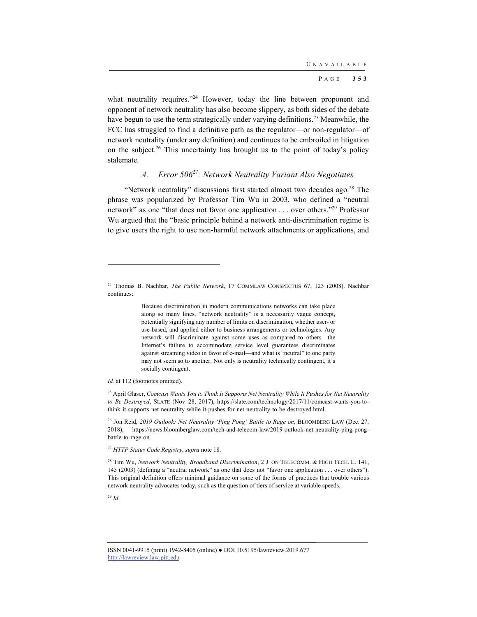what neutrality requires."<sup>24</sup> However, today the line between proponent and opponent of network neutrality has also become slippery, as both sides of the debate have begun to use the term strategically under varying definitions.<sup>25</sup> Meanwhile, the FCC has struggled to find a definitive path as the regulator—or non-regulator—of network neutrality (under any definition) and continues to be embroiled in litigation on the subject.<sup>26</sup> This uncertainty has brought us to the point of today's policy stalemate.

## *A. Error 506*<sup>27</sup>*: Network Neutrality Variant Also Negotiates*

"Network neutrality" discussions first started almost two decades ago.<sup>28</sup> The phrase was popularized by Professor Tim Wu in 2003, who defined a "neutral network" as one "that does not favor one application . . . over others."29 Professor Wu argued that the "basic principle behind a network anti-discrimination regime is to give users the right to use non-harmful network attachments or applications, and

Because discrimination in modern communications networks can take place along so many lines, "network neutrality" is a necessarily vague concept, potentially signifying any number of limits on discrimination, whether user- or use-based, and applied either to business arrangements or technologies. Any network will discriminate against some uses as compared to others—the Internet's failure to accommodate service level guarantees discriminates against streaming video in favor of e-mail—and what is "neutral" to one party may not seem so to another. Not only is neutrality technically contingent, it's socially contingent.

*Id.* at 112 (footnotes omitted).

25 April Glaser, *Comcast Wants You to Think It Supports Net Neutrality While It Pushes for Net Neutrality to Be Destroyed*, SLATE (Nov. 28, 2017), https://slate.com/technology/2017/11/comcast-wants-you-tothink-it-supports-net-neutrality-while-it-pushes-for-net-neutrality-to-be-destroyed.html.

26 Jon Reid, *2019 Outlook: Net Neutrality 'Ping Pong' Battle to Rage on*, BLOOMBERG LAW (Dec. 27, 2018), https://news.bloomberglaw.com/tech-and-telecom-law/2019-outlook-net-neutrality-ping-pongbattle-to-rage-on.

<sup>27</sup> *HTTP Status Code Registry*, *supra* note 18.

28 Tim Wu, *Network Neutrality, Broadband Discrimination*, 2 J. ON TELECOMM. & HIGH TECH. L. 141, 145 (2003) (defining a "neutral network" as one that does not "favor one application . . . over others"). This original definition offers minimal guidance on some of the forms of practices that trouble various network neutrality advocates today, such as the question of tiers of service at variable speeds.

<sup>29</sup> *Id.*

l

<sup>24</sup> Thomas B. Nachbar, *The Public Network*, 17 COMMLAW CONSPECTUS 67, 123 (2008). Nachbar continues: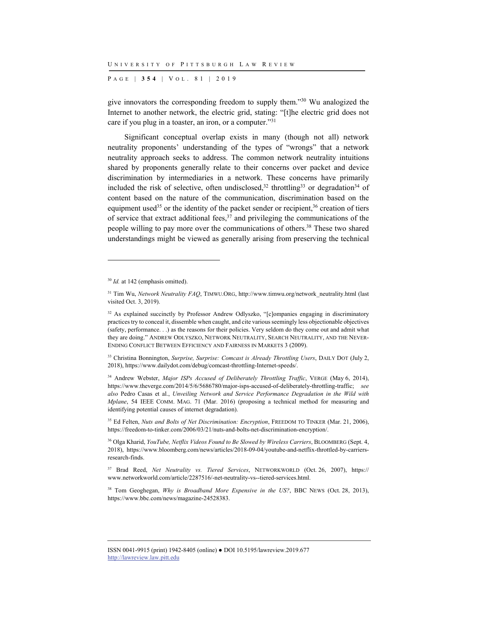P AGE | **354** | V O L . 8 1 | 2019

give innovators the corresponding freedom to supply them."30 Wu analogized the Internet to another network, the electric grid, stating: "[t]he electric grid does not care if you plug in a toaster, an iron, or a computer."31

Significant conceptual overlap exists in many (though not all) network neutrality proponents' understanding of the types of "wrongs" that a network neutrality approach seeks to address. The common network neutrality intuitions shared by proponents generally relate to their concerns over packet and device discrimination by intermediaries in a network. These concerns have primarily included the risk of selective, often undisclosed,  $32$  throttling  $33$  or degradation  $34$  of content based on the nature of the communication, discrimination based on the equipment used<sup>35</sup> or the identity of the packet sender or recipient,  $36$  creation of tiers of service that extract additional fees,  $37$  and privileging the communications of the people willing to pay more over the communications of others.<sup>38</sup> These two shared understandings might be viewed as generally arising from preserving the technical

<sup>&</sup>lt;sup>30</sup> *Id.* at 142 (emphasis omitted).

<sup>&</sup>lt;sup>31</sup> Tim Wu, *Network Neutrality FAQ*, TIMWU.ORG, http://www.timwu.org/network\_neutrality.html (last visited Oct. 3, 2019).

<sup>&</sup>lt;sup>32</sup> As explained succinctly by Professor Andrew Odlyszko, "[c]ompanies engaging in discriminatory practices try to conceal it, dissemble when caught, and cite various seemingly less objectionable objectives (safety, performance. . .) as the reasons for their policies. Very seldom do they come out and admit what they are doing." ANDREW ODLYSZKO, NETWORK NEUTRALITY, SEARCH NEUTRALITY, AND THE NEVER-ENDING CONFLICT BETWEEN EFFICIENCY AND FAIRNESS IN MARKETS 3 (2009).

<sup>33</sup> Christina Bonnington, *Surprise, Surprise: Comcast is Already Throttling Users*, DAILY DOT (July 2, 2018), https://www.dailydot.com/debug/comcast-throttling-Internet-speeds/.

<sup>&</sup>lt;sup>34</sup> Andrew Webster, *Major ISPs Accused of Deliberately Throttling Traffic*, VERGE (May 6, 2014), https://www.theverge.com/2014/5/6/5686780/major-isps-accused-of-deliberately-throttling-traffic; *see also* Pedro Casas et al., *Unveiling Network and Service Performance Degradation in the Wild with Mplane*, 54 IEEE COMM. MAG. 71 (Mar. 2016) (proposing a technical method for measuring and identifying potential causes of internet degradation).

<sup>35</sup> Ed Felten, *Nuts and Bolts of Net Discrimination: Encryption*, FREEDOM TO TINKER (Mar. 21, 2006), https://freedom-to-tinker.com/2006/03/21/nuts-and-bolts-net-discrimination-encryption/.

<sup>36</sup> Olga Kharid, *YouTube, Netflix Videos Found to Be Slowed by Wireless Carriers*, BLOOMBERG (Sept. 4, 2018), https://www.bloomberg.com/news/articles/2018-09-04/youtube-and-netflix-throttled-by-carriersresearch-finds.

<sup>37</sup> Brad Reed, *Net Neutrality vs. Tiered Services*, NETWORKWORLD (Oct. 26, 2007), https:// www.networkworld.com/article/2287516/-net-neutrality-vs--tiered-services.html.

<sup>38</sup> Tom Geoghegan, *Why is Broadband More Expensive in the US?*, BBC NEWS (Oct. 28, 2013), https://www.bbc.com/news/magazine-24528383.

ISSN 0041-9915 (print) 1942-8405 (online) ● DOI 10.5195/lawreview.2019.677 http://lawreview.law.pitt.edu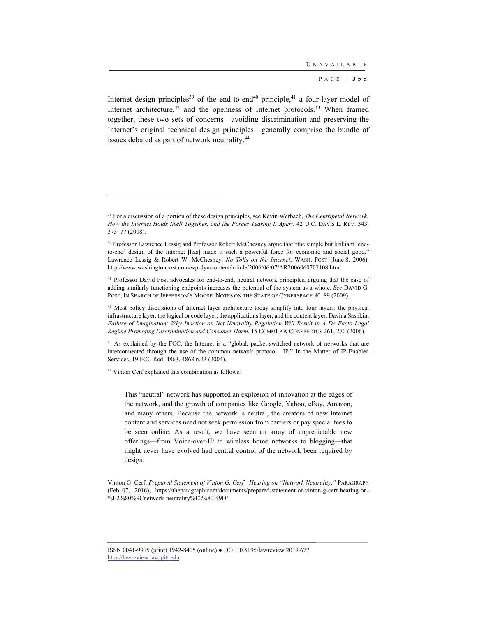Internet design principles<sup>39</sup> of the end-to-end<sup>40</sup> principle,<sup>41</sup> a four-layer model of Internet architecture, $42$  and the openness of Internet protocols. $43$  When framed together, these two sets of concerns—avoiding discrimination and preserving the Internet's original technical design principles—generally comprise the bundle of issues debated as part of network neutrality.<sup>44</sup>

<sup>43</sup> As explained by the FCC, the Internet is a "global, packet-switched network of networks that are interconnected through the use of the common network protocol—IP." In the Matter of IP-Enabled Services, 19 FCC Rcd. 4863, 4868 n.23 (2004).

44 Vinton Cerf explained this combination as follows:

l

This "neutral" network has supported an explosion of innovation at the edges of the network, and the growth of companies like Google, Yahoo, eBay, Amazon, and many others. Because the network is neutral, the creators of new Internet content and services need not seek permission from carriers or pay special fees to be seen online. As a result, we have seen an array of unpredictable new offerings—from Voice-over-IP to wireless home networks to blogging—that might never have evolved had central control of the network been required by design.

Vinton G. Cerf, *Prepared Statement of Vinton G. Cerf—Hearing on "Network Neutrality*,*"* PARAGRAPH (Feb. 07, 2016), https://theparagraph.com/documents/prepared-statement-of-vinton-g-cerf-hearing-on- %E2%80%9Cnetwork-neutrality%E2%80%9D/.

<sup>39</sup> For a discussion of a portion of these design principles, see Kevin Werbach, *The Centripetal Network: How the Internet Holds Itself Together, and the Forces Tearing It Apart*, 42 U.C. DAVIS L. REV. 343, 373–77 (2008).

<sup>40</sup> Professor Lawrence Lessig and Professor Robert McChesney argue that "the simple but brilliant 'endto-end' design of the Internet [has] made it such a powerful force for economic and social good." Lawrence Lessig & Robert W. McChesney, *No Tolls on the Internet*, WASH. POST (June 8, 2006), http://www.washingtonpost.com/wp-dyn/content/article/2006/06/07/AR2006060702108.html.

<sup>&</sup>lt;sup>41</sup> Professor David Post advocates for end-to-end, neutral network principles, arguing that the ease of adding similarly functioning endpoints increases the potential of the system as a whole. *See* DAVID G. POST, IN SEARCH OF JEFFERSON'S MOOSE: NOTES ON THE STATE OF CYBERSPACE 80-89 (2009).

<sup>&</sup>lt;sup>42</sup> Most policy discussions of Internet layer architecture today simplify into four layers: the physical infrastructure layer, the logical or code layer, the applications layer, and the content layer. Davina Sashkin, *Failure of Imagination: Why Inaction on Net Neutrality Regulation Will Result in A De Facto Legal Regime Promoting Discrimination and Consumer Harm*, 15 COMMLAW CONSPECTUS 261, 270 (2006).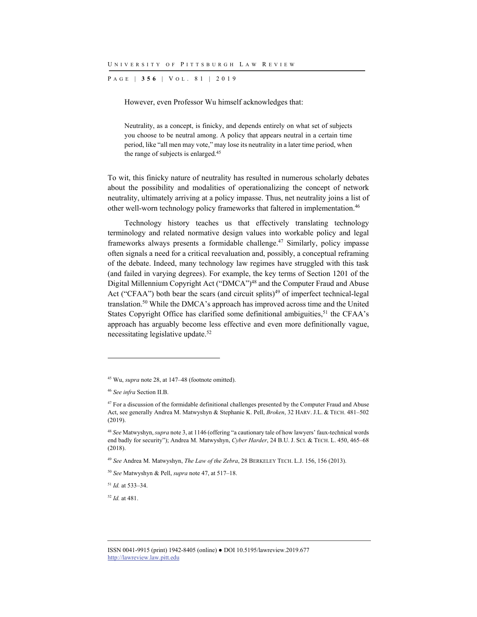P AGE | **356** | V O L . 8 1 | 2019

However, even Professor Wu himself acknowledges that:

Neutrality, as a concept, is finicky, and depends entirely on what set of subjects you choose to be neutral among. A policy that appears neutral in a certain time period, like "all men may vote," may lose its neutrality in a later time period, when the range of subjects is enlarged.45

To wit, this finicky nature of neutrality has resulted in numerous scholarly debates about the possibility and modalities of operationalizing the concept of network neutrality, ultimately arriving at a policy impasse. Thus, net neutrality joins a list of other well-worn technology policy frameworks that faltered in implementation.46

Technology history teaches us that effectively translating technology terminology and related normative design values into workable policy and legal frameworks always presents a formidable challenge.<sup>47</sup> Similarly, policy impasse often signals a need for a critical reevaluation and, possibly, a conceptual reframing of the debate. Indeed, many technology law regimes have struggled with this task (and failed in varying degrees). For example, the key terms of Section 1201 of the Digital Millennium Copyright Act ("DMCA")<sup>48</sup> and the Computer Fraud and Abuse Act ("CFAA") both bear the scars (and circuit splits)<sup>49</sup> of imperfect technical-legal translation.50 While the DMCA's approach has improved across time and the United States Copyright Office has clarified some definitional ambiguities,<sup>51</sup> the CFAA's approach has arguably become less effective and even more definitionally vague, necessitating legislative update.52

l

<sup>49</sup> *See* Andrea M. Matwyshyn, *The Law of the Zebra*, 28 BERKELEY TECH. L.J. 156, 156 (2013).

<sup>50</sup> *See* Matwyshyn & Pell, *supra* note 47, at 517–18.

<sup>51</sup> *Id.* at 533–34.

<sup>52</sup> *Id.* at 481.

<sup>45</sup> Wu, *supra* note 28, at 147–48 (footnote omitted).

<sup>46</sup> *See infra* Section II.B.

<sup>&</sup>lt;sup>47</sup> For a discussion of the formidable definitional challenges presented by the Computer Fraud and Abuse Act, see generally Andrea M. Matwyshyn & Stephanie K. Pell, *Broken*, 32 HARV. J.L. & TECH. 481–502 (2019).

<sup>48</sup> *See* Matwyshyn, *supra* note 3, at 1146 (offering "a cautionary tale of how lawyers' faux-technical words end badly for security"); Andrea M. Matwyshyn, *Cyber Harder*, 24 B.U. J. SCI. & TECH. L. 450, 465–68 (2018).

ISSN 0041-9915 (print) 1942-8405 (online) ● DOI 10.5195/lawreview.2019.677 http://lawreview.law.pitt.edu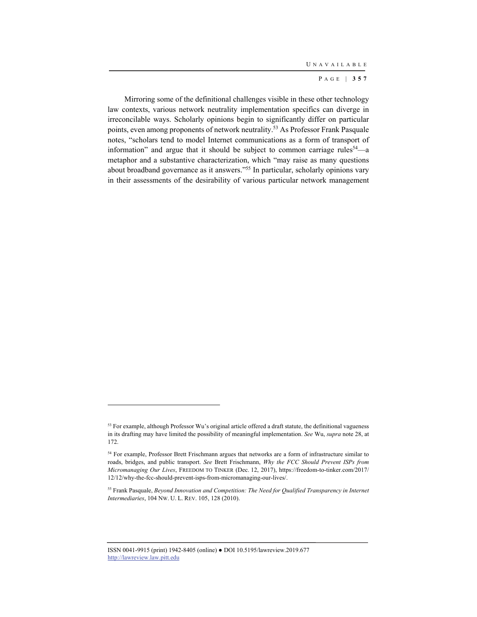Mirroring some of the definitional challenges visible in these other technology law contexts, various network neutrality implementation specifics can diverge in irreconcilable ways. Scholarly opinions begin to significantly differ on particular points, even among proponents of network neutrality.53 As Professor Frank Pasquale notes, "scholars tend to model Internet communications as a form of transport of information" and argue that it should be subject to common carriage rules<sup>54</sup>—a metaphor and a substantive characterization, which "may raise as many questions about broadband governance as it answers."55 In particular, scholarly opinions vary in their assessments of the desirability of various particular network management

ISSN 0041-9915 (print) 1942-8405 (online) ● DOI 10.5195/lawreview.2019.677 http://lawreview.law.pitt.edu

<sup>&</sup>lt;sup>53</sup> For example, although Professor Wu's original article offered a draft statute, the definitional vagueness in its drafting may have limited the possibility of meaningful implementation. *See* Wu, *supra* note 28, at 172.

<sup>54</sup> For example, Professor Brett Frischmann argues that networks are a form of infrastructure similar to roads, bridges, and public transport. *See* Brett Frischmann, *Why the FCC Should Prevent ISPs from Micromanaging Our Lives*, FREEDOM TO TINKER (Dec. 12, 2017), https://freedom-to-tinker.com/2017/ 12/12/why-the-fcc-should-prevent-isps-from-micromanaging-our-lives/.

<sup>55</sup> Frank Pasquale, *Beyond Innovation and Competition: The Need for Qualified Transparency in Internet Intermediaries*, 104 NW. U. L. REV. 105, 128 (2010).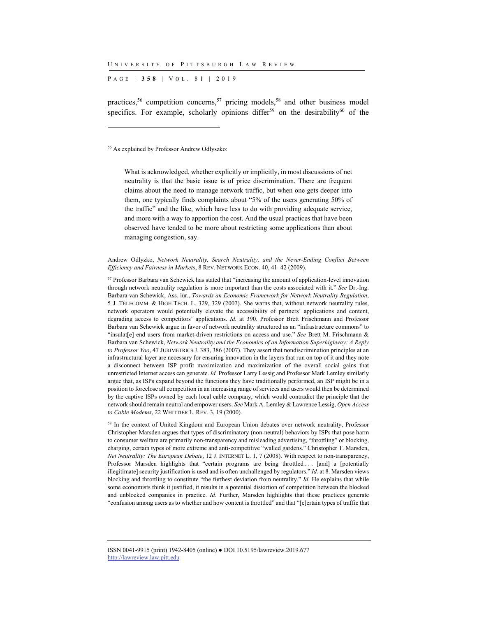P AGE | **358** | V O L . 8 1 | 2019

practices,<sup>56</sup> competition concerns,<sup>57</sup> pricing models,<sup>58</sup> and other business model specifics. For example, scholarly opinions differ<sup>59</sup> on the desirability<sup>60</sup> of the

56 As explained by Professor Andrew Odlyszko:

l

What is acknowledged, whether explicitly or implicitly, in most discussions of net neutrality is that the basic issue is of price discrimination. There are frequent claims about the need to manage network traffic, but when one gets deeper into them, one typically finds complaints about "5% of the users generating 50% of the traffic" and the like, which have less to do with providing adequate service, and more with a way to apportion the cost. And the usual practices that have been observed have tended to be more about restricting some applications than about managing congestion, say.

Andrew Odlyzko, *Network Neutrality, Search Neutrality, and the Never-Ending Conflict Between Efficiency and Fairness in Markets*, 8 REV. NETWORK ECON. 40, 41–42 (2009).

57 Professor Barbara van Schewick has stated that "increasing the amount of application-level innovation through network neutrality regulation is more important than the costs associated with it." *See* Dr.-Ing. Barbara van Schewick, Ass. iur., *Towards an Economic Framework for Network Neutrality Regulation*, 5 J. TELECOMM. & HIGH TECH. L. 329, 329 (2007). She warns that, without network neutrality rules, network operators would potentially elevate the accessibility of partners' applications and content, degrading access to competitors' applications. *Id.* at 390. Professor Brett Frischmann and Professor Barbara van Schewick argue in favor of network neutrality structured as an "infrastructure commons" to "insulat[e] end users from market-driven restrictions on access and use." *See* Brett M. Frischmann & Barbara van Schewick, *Network Neutrality and the Economics of an Information Superhighway: A Reply to Professor Yoo*, 47 JURIMETRICS J. 383, 386 (2007). They assert that nondiscrimination principles at an infrastructural layer are necessary for ensuring innovation in the layers that run on top of it and they note a disconnect between ISP profit maximization and maximization of the overall social gains that unrestricted Internet access can generate. *Id.* Professor Larry Lessig and Professor Mark Lemley similarly argue that, as ISPs expand beyond the functions they have traditionally performed, an ISP might be in a position to foreclose all competition in an increasing range of services and users would then be determined by the captive ISPs owned by each local cable company, which would contradict the principle that the network should remain neutral and empower users. *See* Mark A. Lemley & Lawrence Lessig, *Open Access to Cable Modems*, 22 WHITTIER L. REV. 3, 19 (2000).

58 In the context of United Kingdom and European Union debates over network neutrality, Professor Christopher Marsden argues that types of discriminatory (non-neutral) behaviors by ISPs that pose harm to consumer welfare are primarily non-transparency and misleading advertising, "throttling" or blocking, charging, certain types of more extreme and anti-competitive "walled gardens." Christopher T. Marsden, *Net Neutrality: The European Debate*, 12 J. INTERNET L. 1, 7 (2008). With respect to non-transparency, Professor Marsden highlights that "certain programs are being throttled ... [and] a [potentially illegitimate] security justification is used and is often unchallenged by regulators." *Id.* at 8. Marsden views blocking and throttling to constitute "the furthest deviation from neutrality." *Id.* He explains that while some economists think it justified, it results in a potential distortion of competition between the blocked and unblocked companies in practice. *Id.* Further, Marsden highlights that these practices generate "confusion among users as to whether and how content is throttled" and that "[c]ertain types of traffic that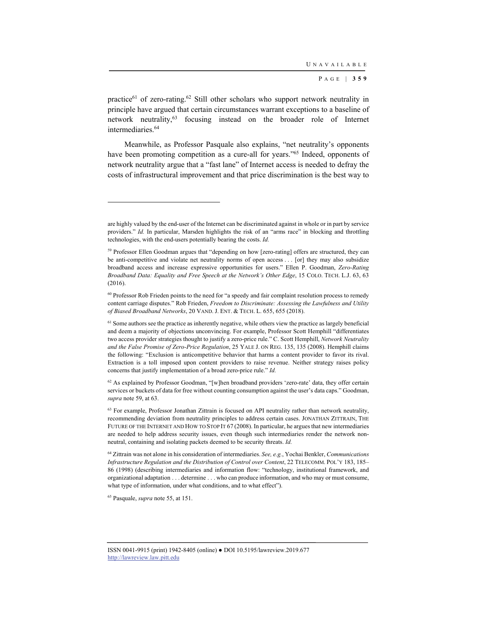practice<sup>61</sup> of zero-rating.<sup>62</sup> Still other scholars who support network neutrality in principle have argued that certain circumstances warrant exceptions to a baseline of network neutrality,63 focusing instead on the broader role of Internet intermediaries.<sup>64</sup>

Meanwhile, as Professor Pasquale also explains, "net neutrality's opponents have been promoting competition as a cure-all for years."<sup>65</sup> Indeed, opponents of network neutrality argue that a "fast lane" of Internet access is needed to defray the costs of infrastructural improvement and that price discrimination is the best way to

 $62$  As explained by Professor Goodman, "[w]hen broadband providers 'zero-rate' data, they offer certain services or buckets of data for free without counting consumption against the user's data caps." Goodman, *supra* note 59, at 63.

65 Pasquale, *supra* note 55, at 151.

are highly valued by the end-user of the Internet can be discriminated against in whole or in part by service providers." *Id.* In particular, Marsden highlights the risk of an "arms race" in blocking and throttling technologies, with the end-users potentially bearing the costs. *Id.*

<sup>59</sup> Professor Ellen Goodman argues that "depending on how [zero-rating] offers are structured, they can be anti-competitive and violate net neutrality norms of open access . . . [or] they may also subsidize broadband access and increase expressive opportunities for users." Ellen P. Goodman, *Zero-Rating Broadband Data: Equality and Free Speech at the Network's Other Edge*, 15 COLO. TECH. L.J. 63, 63 (2016).

<sup>&</sup>lt;sup>60</sup> Professor Rob Frieden points to the need for "a speedy and fair complaint resolution process to remedy content carriage disputes." Rob Frieden, *Freedom to Discriminate: Assessing the Lawfulness and Utility of Biased Broadband Networks*, 20 VAND. J. ENT. & TECH. L. 655, 655 (2018).

<sup>&</sup>lt;sup>61</sup> Some authors see the practice as inherently negative, while others view the practice as largely beneficial and deem a majority of objections unconvincing. For example, Professor Scott Hemphill "differentiates two access provider strategies thought to justify a zero-price rule." C. Scott Hemphill, *Network Neutrality and the False Promise of Zero-Price Regulation*, 25 YALE J. ON REG. 135, 135 (2008). Hemphill claims the following: "Exclusion is anticompetitive behavior that harms a content provider to favor its rival. Extraction is a toll imposed upon content providers to raise revenue. Neither strategy raises policy concerns that justify implementation of a broad zero-price rule." *Id.*

<sup>&</sup>lt;sup>63</sup> For example, Professor Jonathan Zittrain is focused on API neutrality rather than network neutrality, recommending deviation from neutrality principles to address certain cases. JONATHAN ZITTRAIN, THE FUTURE OF THE INTERNET AND HOW TO STOP IT 67 (2008). In particular, he argues that new intermediaries are needed to help address security issues, even though such intermediaries render the network nonneutral, containing and isolating packets deemed to be security threats. *Id.*

<sup>64</sup> Zittrain was not alone in his consideration of intermediaries. *See, e.g.*, Yochai Benkler, *Communications Infrastructure Regulation and the Distribution of Control over Content*, 22 TELECOMM. POL'Y 183, 185– 86 (1998) (describing intermediaries and information flow: "technology, institutional framework, and organizational adaptation . . . determine . . . who can produce information, and who may or must consume, what type of information, under what conditions, and to what effect").

ISSN 0041-9915 (print) 1942-8405 (online) ● DOI 10.5195/lawreview.2019.677 http://lawreview.law.pitt.edu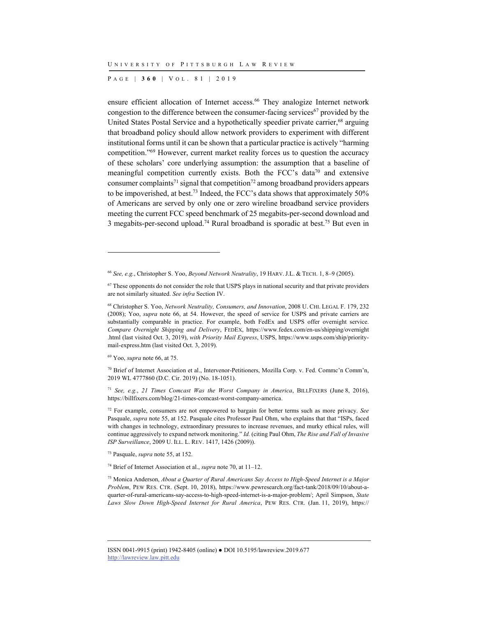P AGE | **360** | V O L . 8 1 | 2019

ensure efficient allocation of Internet access.<sup>66</sup> They analogize Internet network congestion to the difference between the consumer-facing services<sup>67</sup> provided by the United States Postal Service and a hypothetically speedier private carrier,<sup>68</sup> arguing that broadband policy should allow network providers to experiment with different institutional forms until it can be shown that a particular practice is actively "harming competition."69 However, current market reality forces us to question the accuracy of these scholars' core underlying assumption: the assumption that a baseline of meaningful competition currently exists. Both the FCC's data<sup>70</sup> and extensive consumer complaints<sup>71</sup> signal that competition<sup>72</sup> among broadband providers appears to be impoverished, at best.73 Indeed, the FCC's data shows that approximately 50% of Americans are served by only one or zero wireline broadband service providers meeting the current FCC speed benchmark of 25 megabits-per-second download and 3 megabits-per-second upload.<sup>74</sup> Rural broadband is sporadic at best.<sup>75</sup> But even in

69 Yoo, *supra* note 66, at 75.

l

73 Pasquale, *supra* note 55, at 152.

74 Brief of Internet Association et al., *supra* note 70, at 11–12.

75 Monica Anderson, *About a Quarter of Rural Americans Say Access to High-Speed Internet is a Major Problem*, PEW RES. CTR. (Sept. 10, 2018), https://www.pewresearch.org/fact-tank/2018/09/10/about-aquarter-of-rural-americans-say-access-to-high-speed-internet-is-a-major-problem/; April Simpson, *State Laws Slow Down High-Speed Internet for Rural America*, PEW RES. CTR. (Jan. 11, 2019), https://

<sup>66</sup> *See, e.g.*, Christopher S. Yoo, *Beyond Network Neutrality*, 19 HARV. J.L. & TECH. 1, 8–9 (2005).

 $67$  These opponents do not consider the role that USPS plays in national security and that private providers are not similarly situated. *See infra* Section IV.

<sup>68</sup> Christopher S. Yoo, *Network Neutrality, Consumers, and Innovation*, 2008 U. CHI. LEGAL F. 179, 232 (2008); Yoo, *supra* note 66, at 54. However, the speed of service for USPS and private carriers are substantially comparable in practice. For example, both FedEx and USPS offer overnight service. *Compare Overnight Shipping and Delivery*, FEDEX, https://www.fedex.com/en-us/shipping/overnight .html (last visited Oct. 3, 2019), *with Priority Mail Express*, USPS, https://www.usps.com/ship/prioritymail-express.htm (last visited Oct. 3, 2019).

<sup>70</sup> Brief of Internet Association et al., Intervenor-Petitioners, Mozilla Corp. v. Fed. Commc'n Comm'n, 2019 WL 4777860 (D.C. Cir. 2019) (No. 18-1051).

<sup>71</sup> *See, e.g.*, *21 Times Comcast Was the Worst Company in America*, BILLFIXERS (June 8, 2016), https://billfixers.com/blog/21-times-comcast-worst-company-america.

<sup>72</sup> For example, consumers are not empowered to bargain for better terms such as more privacy. *See* Pasquale, *supra* note 55, at 152. Pasquale cites Professor Paul Ohm, who explains that that "ISPs, faced with changes in technology, extraordinary pressures to increase revenues, and murky ethical rules, will continue aggressively to expand network monitoring." *Id.* (citing Paul Ohm, *The Rise and Fall of Invasive ISP Surveillance*, 2009 U. ILL. L. REV. 1417, 1426 (2009)).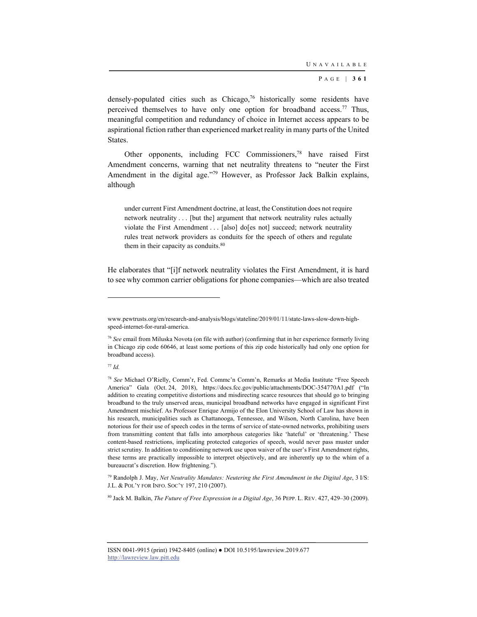densely-populated cities such as Chicago,<sup>76</sup> historically some residents have perceived themselves to have only one option for broadband access.<sup>77</sup> Thus, meaningful competition and redundancy of choice in Internet access appears to be aspirational fiction rather than experienced market reality in many parts of the United States.

Other opponents, including FCC Commissioners,78 have raised First Amendment concerns, warning that net neutrality threatens to "neuter the First Amendment in the digital age."<sup>79</sup> However, as Professor Jack Balkin explains, although

under current First Amendment doctrine, at least, the Constitution does not require network neutrality . . . [but the] argument that network neutrality rules actually violate the First Amendment . . . [also] do[es not] succeed; network neutrality rules treat network providers as conduits for the speech of others and regulate them in their capacity as conduits.<sup>80</sup>

He elaborates that "[i]f network neutrality violates the First Amendment, it is hard to see why common carrier obligations for phone companies—which are also treated

<sup>77</sup> *Id.*

l

www.pewtrusts.org/en/research-and-analysis/blogs/stateline/2019/01/11/state-laws-slow-down-highspeed-internet-for-rural-america.

<sup>76</sup> *See* email from Miluska Novota (on file with author) (confirming that in her experience formerly living in Chicago zip code 60646, at least some portions of this zip code historically had only one option for broadband access).

<sup>78</sup> *See* Michael O'Rielly, Comm'r, Fed. Commc'n Comm'n, Remarks at Media Institute "Free Speech America" Gala (Oct. 24, 2018), https://docs.fcc.gov/public/attachments/DOC-354770A1.pdf ("In addition to creating competitive distortions and misdirecting scarce resources that should go to bringing broadband to the truly unserved areas, municipal broadband networks have engaged in significant First Amendment mischief. As Professor Enrique Armijo of the Elon University School of Law has shown in his research, municipalities such as Chattanooga, Tennessee, and Wilson, North Carolina, have been notorious for their use of speech codes in the terms of service of state-owned networks, prohibiting users from transmitting content that falls into amorphous categories like 'hateful' or 'threatening.' These content-based restrictions, implicating protected categories of speech, would never pass muster under strict scrutiny. In addition to conditioning network use upon waiver of the user's First Amendment rights, these terms are practically impossible to interpret objectively, and are inherently up to the whim of a bureaucrat's discretion. How frightening.").

<sup>79</sup> Randolph J. May, *Net Neutrality Mandates: Neutering the First Amendment in the Digital Age*, 3 I/S: J.L. & POL'Y FOR INFO. SOC'Y 197, 210 (2007).

<sup>80</sup> Jack M. Balkin, *The Future of Free Expression in a Digital Age*, 36 PEPP. L. REV. 427, 429–30 (2009).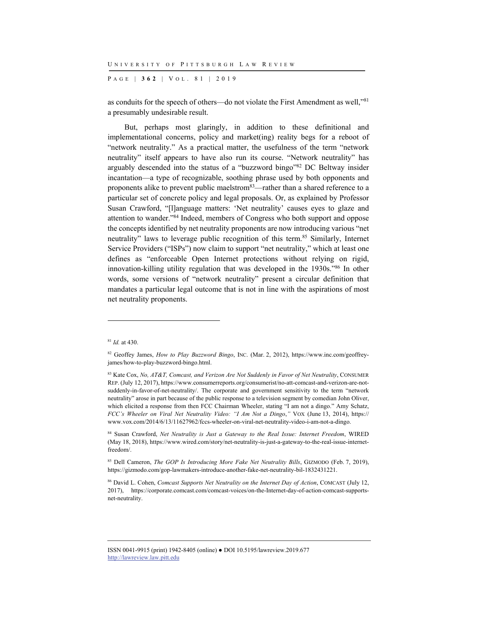P AGE | **362** | V O L . 8 1 | 2019

as conduits for the speech of others—do not violate the First Amendment as well,"81 a presumably undesirable result.

But, perhaps most glaringly, in addition to these definitional and implementational concerns, policy and market(ing) reality begs for a reboot of "network neutrality." As a practical matter, the usefulness of the term "network neutrality" itself appears to have also run its course. "Network neutrality" has arguably descended into the status of a "buzzword bingo"82 DC Beltway insider incantation—a type of recognizable, soothing phrase used by both opponents and proponents alike to prevent public maelstrom83—rather than a shared reference to a particular set of concrete policy and legal proposals. Or, as explained by Professor Susan Crawford, "[l]anguage matters: 'Net neutrality' causes eyes to glaze and attention to wander."84 Indeed, members of Congress who both support and oppose the concepts identified by net neutrality proponents are now introducing various "net neutrality" laws to leverage public recognition of this term.85 Similarly, Internet Service Providers ("ISPs") now claim to support "net neutrality," which at least one defines as "enforceable Open Internet protections without relying on rigid, innovation-killing utility regulation that was developed in the 1930s."86 In other words, some versions of "network neutrality" present a circular definition that mandates a particular legal outcome that is not in line with the aspirations of most net neutrality proponents.

l

<sup>81</sup> *Id.* at 430.

<sup>82</sup> Geoffey James, *How to Play Buzzword Bingo*, INC. (Mar. 2, 2012), https://www.inc.com/geoffreyjames/how-to-play-buzzword-bingo.html.

<sup>83</sup> Kate Cox, *No, AT&T, Comcast, and Verizon Are Not Suddenly in Favor of Net Neutrality*, CONSUMER REP. (July 12, 2017), https://www.consumerreports.org/consumerist/no-att-comcast-and-verizon-are-notsuddenly-in-favor-of-net-neutrality/. The corporate and government sensitivity to the term "network neutrality" arose in part because of the public response to a television segment by comedian John Oliver, which elicited a response from then FCC Chairman Wheeler, stating "I am not a dingo." Amy Schatz, *FCC's Wheeler on Viral Net Neutrality Video: "I Am Not a Dingo*,*"* VOX (June 13, 2014), https:// www.vox.com/2014/6/13/11627962/fccs-wheeler-on-viral-net-neutrality-video-i-am-not-a-dingo.

<sup>84</sup> Susan Crawford, *Net Neutrality is Just a Gateway to the Real Issue: Internet Freedom*, WIRED (May 18, 2018), https://www.wired.com/story/net-neutrality-is-just-a-gateway-to-the-real-issue-internetfreedom/.

<sup>85</sup> Dell Cameron, *The GOP Is Introducing More Fake Net Neutrality Bills*, GIZMODO (Feb. 7, 2019), https://gizmodo.com/gop-lawmakers-introduce-another-fake-net-neutrality-bil-1832431221.

<sup>86</sup> David L. Cohen, *Comcast Supports Net Neutrality on the Internet Day of Action*, COMCAST (July 12, 2017), https://corporate.comcast.com/comcast-voices/on-the-Internet-day-of-action-comcast-supportsnet-neutrality.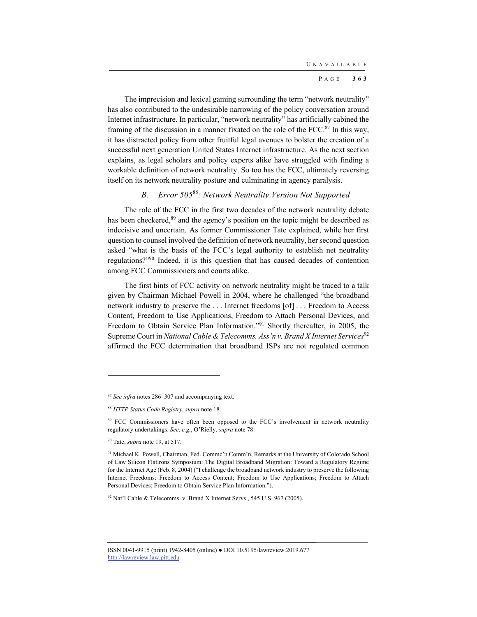The imprecision and lexical gaming surrounding the term "network neutrality" has also contributed to the undesirable narrowing of the policy conversation around Internet infrastructure. In particular, "network neutrality" has artificially cabined the framing of the discussion in a manner fixated on the role of the FCC. $87$  In this way, it has distracted policy from other fruitful legal avenues to bolster the creation of a successful next generation United States Internet infrastructure. As the next section explains, as legal scholars and policy experts alike have struggled with finding a workable definition of network neutrality. So too has the FCC, ultimately reversing itself on its network neutrality posture and culminating in agency paralysis.

## *B. Error 505*<sup>88</sup>*: Network Neutrality Version Not Supported*

The role of the FCC in the first two decades of the network neutrality debate has been checkered,<sup>89</sup> and the agency's position on the topic might be described as indecisive and uncertain. As former Commissioner Tate explained, while her first question to counsel involved the definition of network neutrality, her second question asked "what is the basis of the FCC's legal authority to establish net neutrality regulations?"90 Indeed, it is this question that has caused decades of contention among FCC Commissioners and courts alike.

The first hints of FCC activity on network neutrality might be traced to a talk given by Chairman Michael Powell in 2004, where he challenged "the broadband network industry to preserve the . . . Internet freedoms [of] . . . Freedom to Access Content, Freedom to Use Applications, Freedom to Attach Personal Devices, and Freedom to Obtain Service Plan Information."91 Shortly thereafter, in 2005, the Supreme Court in *National Cable & Telecomms. Ass'n v. Brand X Internet Services*<sup>92</sup> affirmed the FCC determination that broadband ISPs are not regulated common

l

92 Nat'l Cable & Telecomms. v. Brand X Internet Servs., 545 U.S. 967 (2005).

<sup>87</sup> *See infra* notes 286–307 and accompanying text.

<sup>88</sup> *HTTP Status Code Registry*, *supra* note 18.

<sup>&</sup>lt;sup>89</sup> FCC Commissioners have often been opposed to the FCC's involvement in network neutrality regulatory undertakings. *See, e.g.*, O'Rielly, *supra* note 78.

<sup>90</sup> Tate, *supra* note 19, at 517.

<sup>91</sup> Michael K. Powell, Chairman, Fed. Commc'n Comm'n, Remarks at the University of Colorado School of Law Silicon Flatirons Symposium: The Digital Broadband Migration: Toward a Regulatory Regime for the Internet Age (Feb. 8, 2004) ("I challenge the broadband network industry to preserve the following Internet Freedoms: Freedom to Access Content; Freedom to Use Applications; Freedom to Attach Personal Devices; Freedom to Obtain Service Plan Information.").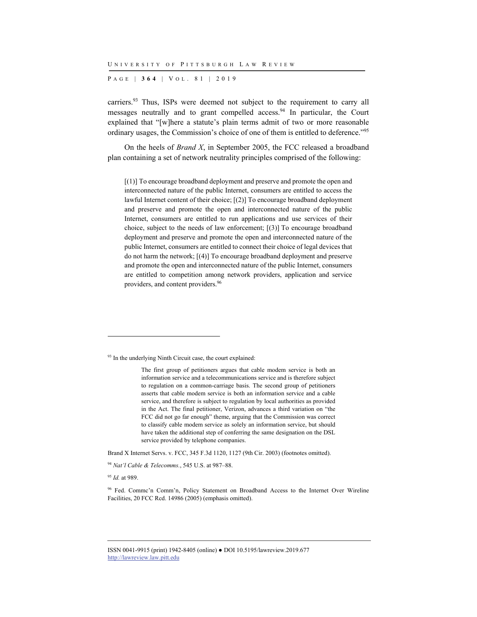P AGE | **364** | V O L . 8 1 | 2019

carriers.93 Thus, ISPs were deemed not subject to the requirement to carry all messages neutrally and to grant compelled access.<sup>94</sup> In particular, the Court explained that "[w]here a statute's plain terms admit of two or more reasonable ordinary usages, the Commission's choice of one of them is entitled to deference."95

On the heels of *Brand X*, in September 2005, the FCC released a broadband plan containing a set of network neutrality principles comprised of the following:

[(1)] To encourage broadband deployment and preserve and promote the open and interconnected nature of the public Internet, consumers are entitled to access the lawful Internet content of their choice; [(2)] To encourage broadband deployment and preserve and promote the open and interconnected nature of the public Internet, consumers are entitled to run applications and use services of their choice, subject to the needs of law enforcement; [(3)] To encourage broadband deployment and preserve and promote the open and interconnected nature of the public Internet, consumers are entitled to connect their choice of legal devices that do not harm the network; [(4)] To encourage broadband deployment and preserve and promote the open and interconnected nature of the public Internet, consumers are entitled to competition among network providers, application and service providers, and content providers.96

Brand X Internet Servs. v. FCC, 345 F.3d 1120, 1127 (9th Cir. 2003) (footnotes omitted).

<sup>95</sup> *Id.* at 989.

l

<sup>&</sup>lt;sup>93</sup> In the underlying Ninth Circuit case, the court explained:

The first group of petitioners argues that cable modem service is both an information service and a telecommunications service and is therefore subject to regulation on a common-carriage basis. The second group of petitioners asserts that cable modem service is both an information service and a cable service, and therefore is subject to regulation by local authorities as provided in the Act. The final petitioner, Verizon, advances a third variation on "the FCC did not go far enough" theme, arguing that the Commission was correct to classify cable modem service as solely an information service, but should have taken the additional step of conferring the same designation on the DSL service provided by telephone companies.

<sup>94</sup> *Nat'l Cable & Telecomms.*, 545 U.S. at 987–88.

<sup>96</sup> Fed. Commc'n Comm'n, Policy Statement on Broadband Access to the Internet Over Wireline Facilities, 20 FCC Rcd. 14986 (2005) (emphasis omitted).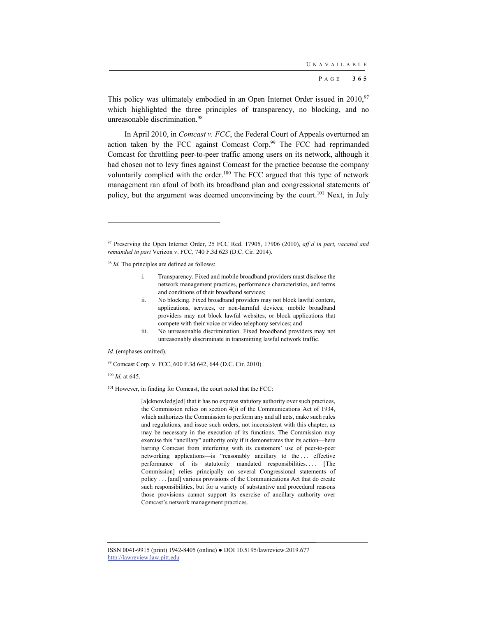This policy was ultimately embodied in an Open Internet Order issued in  $2010$ ,  $97$ which highlighted the three principles of transparency, no blocking, and no unreasonable discrimination.98

In April 2010, in *Comcast v. FCC*, the Federal Court of Appeals overturned an action taken by the FCC against Comcast Corp.<sup>99</sup> The FCC had reprimanded Comcast for throttling peer-to-peer traffic among users on its network, although it had chosen not to levy fines against Comcast for the practice because the company voluntarily complied with the order.<sup>100</sup> The FCC argued that this type of network management ran afoul of both its broadband plan and congressional statements of policy, but the argument was deemed unconvincing by the court.<sup>101</sup> Next, in July

<sup>98</sup> *Id.* The principles are defined as follows:

- i. Transparency. Fixed and mobile broadband providers must disclose the network management practices, performance characteristics, and terms and conditions of their broadband services;
- ii. No blocking. Fixed broadband providers may not block lawful content, applications, services, or non-harmful devices; mobile broadband providers may not block lawful websites, or block applications that compete with their voice or video telephony services; and
- iii. No unreasonable discrimination. Fixed broadband providers may not unreasonably discriminate in transmitting lawful network traffic.

*Id.* (emphases omitted).

99 Comcast Corp. v. FCC, 600 F.3d 642, 644 (D.C. Cir. 2010).

<sup>100</sup> *Id.* at 645.

l

<sup>101</sup> However, in finding for Comcast, the court noted that the FCC:

[a]cknowledg[ed] that it has no express statutory authority over such practices, the Commission relies on section 4(i) of the Communications Act of 1934, which authorizes the Commission to perform any and all acts, make such rules and regulations, and issue such orders, not inconsistent with this chapter, as may be necessary in the execution of its functions. The Commission may exercise this "ancillary" authority only if it demonstrates that its action—here barring Comcast from interfering with its customers' use of peer-to-peer networking applications—is "reasonably ancillary to the . . . effective performance of its statutorily mandated responsibilities.... [The Commission] relies principally on several Congressional statements of policy . . . [and] various provisions of the Communications Act that do create such responsibilities, but for a variety of substantive and procedural reasons those provisions cannot support its exercise of ancillary authority over Comcast's network management practices.

<sup>97</sup> Preserving the Open Internet Order, 25 FCC Rcd. 17905, 17906 (2010), *aff'd in part, vacated and remanded in part* Verizon v. FCC, 740 F.3d 623 (D.C. Cir. 2014).

ISSN 0041-9915 (print) 1942-8405 (online) ● DOI 10.5195/lawreview.2019.677 http://lawreview.law.pitt.edu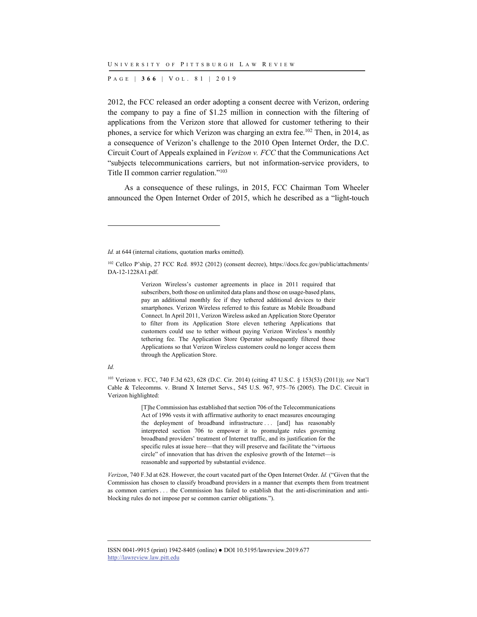P AGE | **366** | V O L . 8 1 | 2019

2012, the FCC released an order adopting a consent decree with Verizon, ordering the company to pay a fine of \$1.25 million in connection with the filtering of applications from the Verizon store that allowed for customer tethering to their phones, a service for which Verizon was charging an extra fee.<sup>102</sup> Then, in 2014, as a consequence of Verizon's challenge to the 2010 Open Internet Order, the D.C. Circuit Court of Appeals explained in *Verizon v. FCC* that the Communications Act "subjects telecommunications carriers, but not information-service providers, to Title II common carrier regulation."103

As a consequence of these rulings, in 2015, FCC Chairman Tom Wheeler announced the Open Internet Order of 2015, which he described as a "light-touch

Verizon Wireless's customer agreements in place in 2011 required that subscribers, both those on unlimited data plans and those on usage-based plans, pay an additional monthly fee if they tethered additional devices to their smartphones. Verizon Wireless referred to this feature as Mobile Broadband Connect. In April 2011, Verizon Wireless asked an Application Store Operator to filter from its Application Store eleven tethering Applications that customers could use to tether without paying Verizon Wireless's monthly tethering fee. The Application Store Operator subsequently filtered those Applications so that Verizon Wireless customers could no longer access them through the Application Store.

#### *Id.*

l

103 Verizon v. FCC, 740 F.3d 623, 628 (D.C. Cir. 2014) (citing 47 U.S.C. § 153(53) (2011)); *see* Nat'l Cable & Telecomms. v. Brand X Internet Servs., 545 U.S. 967, 975–76 (2005). The D.C. Circuit in Verizon highlighted:

> [T]he Commission has established that section 706 of the Telecommunications Act of 1996 vests it with affirmative authority to enact measures encouraging the deployment of broadband infrastructure . . . [and] has reasonably interpreted section 706 to empower it to promulgate rules governing broadband providers' treatment of Internet traffic, and its justification for the specific rules at issue here—that they will preserve and facilitate the "virtuous circle" of innovation that has driven the explosive growth of the Internet—is reasonable and supported by substantial evidence.

*Verizon*, 740 F.3d at 628. However, the court vacated part of the Open Internet Order. *Id.* ("Given that the Commission has chosen to classify broadband providers in a manner that exempts them from treatment as common carriers . . . the Commission has failed to establish that the anti-discrimination and antiblocking rules do not impose per se common carrier obligations.").

*Id.* at 644 (internal citations, quotation marks omitted).

<sup>102</sup> Cellco P'ship, 27 FCC Rcd. 8932 (2012) (consent decree), https://docs.fcc.gov/public/attachments/ DA-12-1228A1.pdf.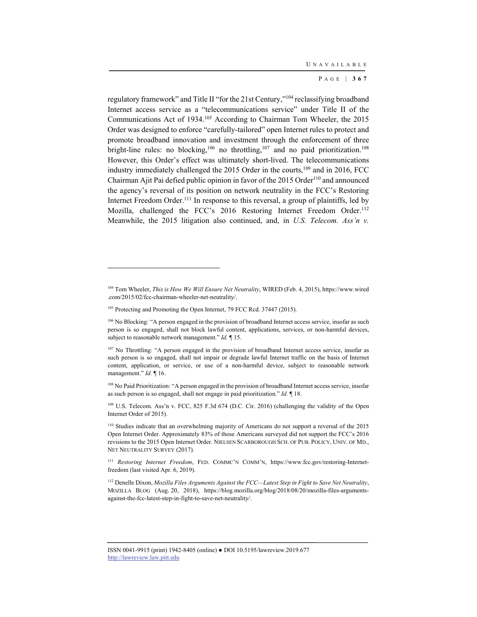regulatory framework" and Title II "for the 21st Century,"104 reclassifying broadband Internet access service as a "telecommunications service" under Title II of the Communications Act of 1934.105 According to Chairman Tom Wheeler, the 2015 Order was designed to enforce "carefully-tailored" open Internet rules to protect and promote broadband innovation and investment through the enforcement of three bright-line rules: no blocking,<sup>106</sup> no throttling,<sup>107</sup> and no paid prioritization.<sup>108</sup> However, this Order's effect was ultimately short-lived. The telecommunications industry immediately challenged the 2015 Order in the courts, $109$  and in 2016, FCC Chairman Ajit Pai defied public opinion in favor of the 2015 Order<sup>110</sup> and announced the agency's reversal of its position on network neutrality in the FCC's Restoring Internet Freedom Order.<sup>111</sup> In response to this reversal, a group of plaintiffs, led by Mozilla, challenged the FCC's 2016 Restoring Internet Freedom Order.<sup>112</sup> Meanwhile, the 2015 litigation also continued, and, in *U.S. Telecom. Ass'n v.* 

l

109 U.S. Telecom. Ass'n v. FCC, 825 F.3d 674 (D.C. Cir. 2016) (challenging the validity of the Open Internet Order of 2015).

<sup>104</sup> Tom Wheeler, *This is How We Will Ensure Net Neutrality*, WIRED (Feb. 4, 2015), https://www.wired .com/2015/02/fcc-chairman-wheeler-net-neutrality/.

<sup>&</sup>lt;sup>105</sup> Protecting and Promoting the Open Internet, 79 FCC Rcd. 37447 (2015).

<sup>106</sup> No Blocking: "A person engaged in the provision of broadband Internet access service, insofar as such person is so engaged, shall not block lawful content, applications, services, or non-harmful devices, subject to reasonable network management." *Id.* ¶ 15.

<sup>&</sup>lt;sup>107</sup> No Throttling: "A person engaged in the provision of broadband Internet access service, insofar as such person is so engaged, shall not impair or degrade lawful Internet traffic on the basis of Internet content, application, or service, or use of a non-harmful device, subject to reasonable network management." *Id.* ¶ 16.

<sup>108</sup> No Paid Prioritization: "A person engaged in the provision of broadband Internet access service, insofar as such person is so engaged, shall not engage in paid prioritization." *Id.* ¶ 18.

<sup>&</sup>lt;sup>110</sup> Studies indicate that an overwhelming majority of Americans do not support a reversal of the 2015 Open Internet Order. Approximately 83% of those Americans surveyed did not support the FCC's 2016 revisions to the 2015 Open Internet Order. NIELSEN SCARBOROUGH SCH. OF PUB. POLICY, UNIV. OF MD., NET NEUTRALITY SURVEY (2017).

<sup>111</sup> *Restoring Internet Freedom*, FED. COMMC'N COMM'N, https://www.fcc.gov/restoring-Internetfreedom (last visited Apr. 6, 2019).

<sup>112</sup> Denelle Dixon, *Mozilla Files Arguments Against the FCC—Latest Step in Fight to Save Net Neutrality*, MOZILLA BLOG (Aug. 20, 2018), https://blog.mozilla.org/blog/2018/08/20/mozilla-files-argumentsagainst-the-fcc-latest-step-in-fight-to-save-net-neutrality/.

ISSN 0041-9915 (print) 1942-8405 (online) ● DOI 10.5195/lawreview.2019.677 http://lawreview.law.pitt.edu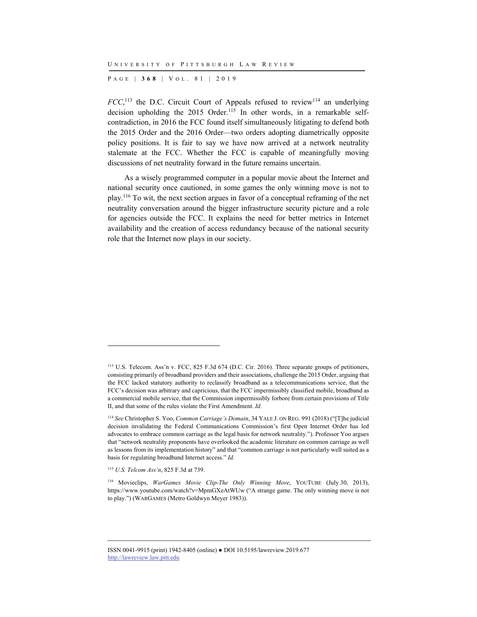P AGE | **368** | V O L . 8 1 | 2019

 $FCC$ <sup>113</sup>, the D.C. Circuit Court of Appeals refused to review<sup>114</sup> an underlying decision upholding the 2015 Order.<sup>115</sup> In other words, in a remarkable selfcontradiction, in 2016 the FCC found itself simultaneously litigating to defend both the 2015 Order and the 2016 Order—two orders adopting diametrically opposite policy positions. It is fair to say we have now arrived at a network neutrality stalemate at the FCC. Whether the FCC is capable of meaningfully moving discussions of net neutrality forward in the future remains uncertain.

As a wisely programmed computer in a popular movie about the Internet and national security once cautioned, in some games the only winning move is not to play.116 To wit, the next section argues in favor of a conceptual reframing of the net neutrality conversation around the bigger infrastructure security picture and a role for agencies outside the FCC. It explains the need for better metrics in Internet availability and the creation of access redundancy because of the national security role that the Internet now plays in our society.

l

<sup>113</sup> U.S. Telecom. Ass'n v. FCC, 825 F.3d 674 (D.C. Cir. 2016). Three separate groups of petitioners, consisting primarily of broadband providers and their associations, challenge the 2015 Order, arguing that the FCC lacked statutory authority to reclassify broadband as a telecommunications service, that the FCC's decision was arbitrary and capricious, that the FCC impermissibly classified mobile, broadband as a commercial mobile service, that the Commission impermissibly forbore from certain provisions of Title II, and that some of the rules violate the First Amendment. *Id.*

<sup>114</sup> *See* Christopher S. Yoo, *Common Carriage's Domain*, 34 YALE J. ON REG. 991 (2018) ("[T]he judicial decision invalidating the Federal Communications Commission's first Open Internet Order has led advocates to embrace common carriage as the legal basis for network neutrality."). Professor Yoo argues that "network neutrality proponents have overlooked the academic literature on common carriage as well as lessons from its implementation history" and that "common carriage is not particularly well suited as a basis for regulating broadband Internet access." *Id.*

<sup>115</sup> *U.S. Telcom Ass'n*, 825 F.3d at 739.

<sup>116</sup> Movieclips, *WarGames Movie Clip-The Only Winning Move*, YOUTUBE (July 30, 2013), https://www.youtube.com/watch?v=MpmGXeAtWUw ("A strange game. The only winning move is not to play.") (WARGAMES (Metro Goldwyn Meyer 1983)).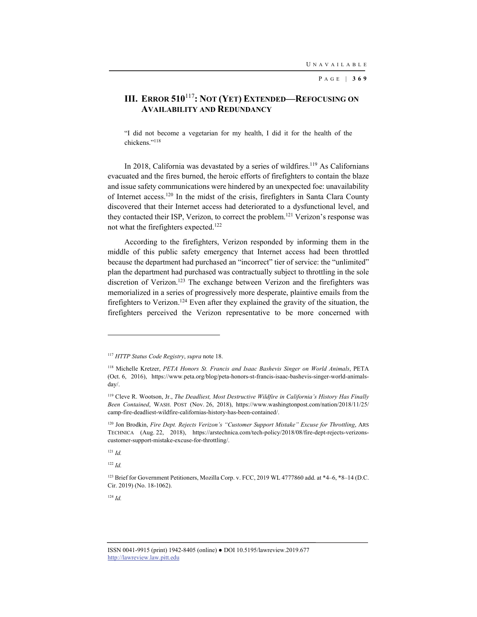# **III. ERROR 510**<sup>117</sup>**: NOT (YET) EXTENDED—REFOCUSING ON AVAILABILITY AND REDUNDANCY**

"I did not become a vegetarian for my health, I did it for the health of the chickens."118

In 2018, California was devastated by a series of wildfires.<sup>119</sup> As Californians evacuated and the fires burned, the heroic efforts of firefighters to contain the blaze and issue safety communications were hindered by an unexpected foe: unavailability of Internet access.120 In the midst of the crisis, firefighters in Santa Clara County discovered that their Internet access had deteriorated to a dysfunctional level, and they contacted their ISP, Verizon, to correct the problem.121 Verizon's response was not what the firefighters expected.122

According to the firefighters, Verizon responded by informing them in the middle of this public safety emergency that Internet access had been throttled because the department had purchased an "incorrect" tier of service: the "unlimited" plan the department had purchased was contractually subject to throttling in the sole discretion of Verizon.<sup>123</sup> The exchange between Verizon and the firefighters was memorialized in a series of progressively more desperate, plaintive emails from the firefighters to Verizon.<sup>124</sup> Even after they explained the gravity of the situation, the firefighters perceived the Verizon representative to be more concerned with

<sup>121</sup> *Id.*

l

<sup>122</sup> *Id.*

<sup>124</sup> *Id.*

<sup>117</sup> *HTTP Status Code Registry*, *supra* note 18.

<sup>118</sup> Michelle Kretzer, *PETA Honors St. Francis and Isaac Bashevis Singer on World Animals*, PETA (Oct. 6, 2016), https://www.peta.org/blog/peta-honors-st-francis-isaac-bashevis-singer-world-animalsday/.

<sup>119</sup> Cleve R. Wootson, Jr., *The Deadliest, Most Destructive Wildfire in California's History Has Finally Been Contained*, WASH. POST (Nov. 26, 2018), https://www.washingtonpost.com/nation/2018/11/25/ camp-fire-deadliest-wildfire-californias-history-has-been-contained/.

<sup>120</sup> Jon Brodkin, *Fire Dept. Rejects Verizon's "Customer Support Mistake" Excuse for Throttling*, ARS TECHNICA (Aug. 22, 2018), https://arstechnica.com/tech-policy/2018/08/fire-dept-rejects-verizonscustomer-support-mistake-excuse-for-throttling/.

<sup>&</sup>lt;sup>123</sup> Brief for Government Petitioners, Mozilla Corp. v. FCC, 2019 WL 4777860 add. at  $*4-6$ ,  $*8-14$  (D.C. Cir. 2019) (No. 18-1062).

ISSN 0041-9915 (print) 1942-8405 (online) ● DOI 10.5195/lawreview.2019.677 http://lawreview.law.pitt.edu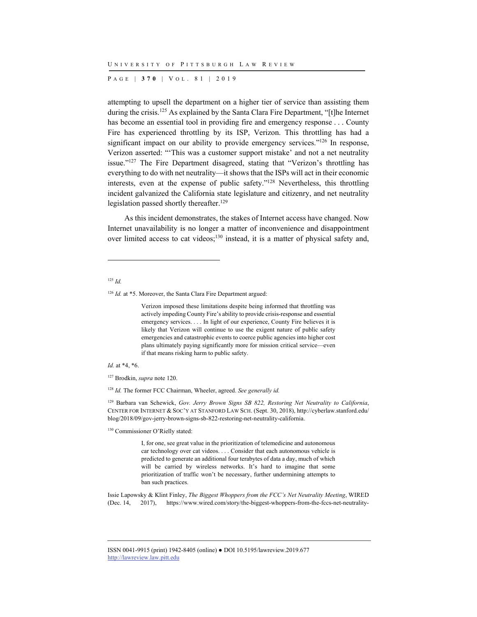P AGE | **370** | V O L . 8 1 | 2019

attempting to upsell the department on a higher tier of service than assisting them during the crisis.<sup>125</sup> As explained by the Santa Clara Fire Department, "[t]he Internet has become an essential tool in providing fire and emergency response . . . County Fire has experienced throttling by its ISP, Verizon. This throttling has had a significant impact on our ability to provide emergency services."<sup>126</sup> In response, Verizon asserted: "'This was a customer support mistake' and not a net neutrality issue."127 The Fire Department disagreed, stating that "Verizon's throttling has everything to do with net neutrality—it shows that the ISPs will act in their economic interests, even at the expense of public safety."128 Nevertheless, this throttling incident galvanized the California state legislature and citizenry, and net neutrality legislation passed shortly thereafter.<sup>129</sup>

As this incident demonstrates, the stakes of Internet access have changed. Now Internet unavailability is no longer a matter of inconvenience and disappointment over limited access to cat videos;130 instead, it is a matter of physical safety and,

#### <sup>125</sup> *Id.*

l

<sup>126</sup> *Id.* at \*5. Moreover, the Santa Clara Fire Department argued:

Verizon imposed these limitations despite being informed that throttling was actively impeding County Fire's ability to provide crisis-response and essential emergency services. . . . In light of our experience, County Fire believes it is likely that Verizon will continue to use the exigent nature of public safety emergencies and catastrophic events to coerce public agencies into higher cost plans ultimately paying significantly more for mission critical service—even if that means risking harm to public safety.

*Id.* at \*4, \*6.

127 Brodkin, *supra* note 120.

<sup>128</sup> *Id.* The former FCC Chairman, Wheeler, agreed. *See generally id.*

129 Barbara van Schewick, *Gov. Jerry Brown Signs SB 822, Restoring Net Neutrality to California*, CENTER FOR INTERNET & SOC'Y AT STANFORD LAW SCH. (Sept. 30, 2018), http://cyberlaw.stanford.edu/ blog/2018/09/gov-jerry-brown-signs-sb-822-restoring-net-neutrality-california.

130 Commissioner O'Rielly stated:

I, for one, see great value in the prioritization of telemedicine and autonomous car technology over cat videos. . . . Consider that each autonomous vehicle is predicted to generate an additional four terabytes of data a day, much of which will be carried by wireless networks. It's hard to imagine that some prioritization of traffic won't be necessary, further undermining attempts to ban such practices.

Issie Lapowsky & Klint Finley, *The Biggest Whoppers from the FCC's Net Neutrality Meeting*, WIRED (Dec. 14, 2017), https://www.wired.com/story/the-biggest-whoppers-from-the-fccs-net-neutrality-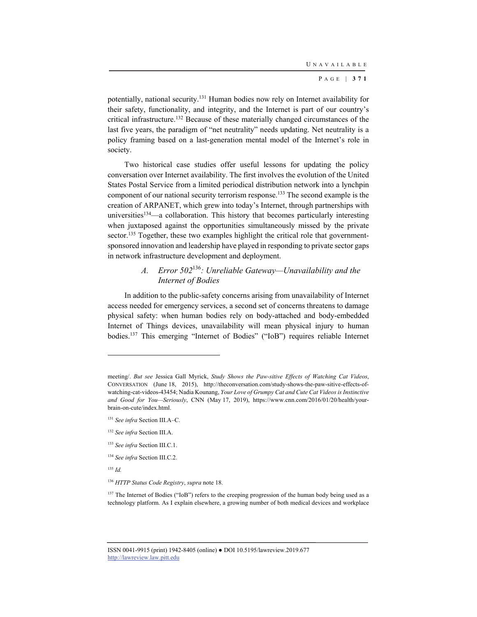potentially, national security.131 Human bodies now rely on Internet availability for their safety, functionality, and integrity, and the Internet is part of our country's critical infrastructure.132 Because of these materially changed circumstances of the last five years, the paradigm of "net neutrality" needs updating. Net neutrality is a policy framing based on a last-generation mental model of the Internet's role in society.

Two historical case studies offer useful lessons for updating the policy conversation over Internet availability. The first involves the evolution of the United States Postal Service from a limited periodical distribution network into a lynchpin component of our national security terrorism response.133 The second example is the creation of ARPANET, which grew into today's Internet, through partnerships with universities<sup>134</sup>—a collaboration. This history that becomes particularly interesting when juxtaposed against the opportunities simultaneously missed by the private sector.<sup>135</sup> Together, these two examples highlight the critical role that governmentsponsored innovation and leadership have played in responding to private sector gaps in network infrastructure development and deployment.

## *A. Error 502*<sup>136</sup>*: Unreliable Gateway—Unavailability and the Internet of Bodies*

In addition to the public-safety concerns arising from unavailability of Internet access needed for emergency services, a second set of concerns threatens to damage physical safety: when human bodies rely on body-attached and body-embedded Internet of Things devices, unavailability will mean physical injury to human bodies.137 This emerging "Internet of Bodies" ("IoB") requires reliable Internet

<sup>135</sup> *Id.*

meeting/. *But see* Jessica Gall Myrick, *Study Shows the Paw-sitive Effects of Watching Cat Videos*, CONVERSATION (June 18, 2015), http://theconversation.com/study-shows-the-paw-sitive-effects-ofwatching-cat-videos-43454; Nadia Kounang, *Your Love of Grumpy Cat and Cute Cat Videos is Instinctive and Good for You—Seriously*, CNN (May 17, 2019), https://www.cnn.com/2016/01/20/health/yourbrain-on-cute/index.html.

<sup>131</sup> *See infra* Section III.A–C.

<sup>132</sup> *See infra* Section III.A.

<sup>133</sup> *See infra* Section III.C.1.

<sup>134</sup> *See infra* Section III.C.2.

<sup>136</sup> *HTTP Status Code Registry*, *supra* note 18.

<sup>137</sup> The Internet of Bodies ("IoB") refers to the creeping progression of the human body being used as a technology platform. As I explain elsewhere, a growing number of both medical devices and workplace

ISSN 0041-9915 (print) 1942-8405 (online) ● DOI 10.5195/lawreview.2019.677 http://lawreview.law.pitt.edu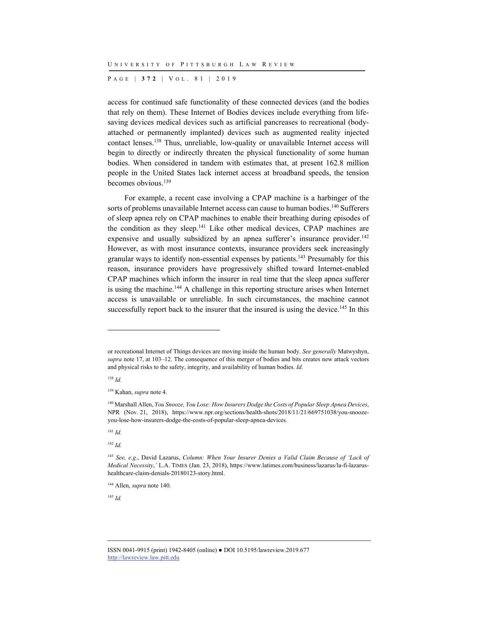P AGE | **372** | V O L . 8 1 | 2019

access for continued safe functionality of these connected devices (and the bodies that rely on them). These Internet of Bodies devices include everything from lifesaving devices medical devices such as artificial pancreases to recreational (bodyattached or permanently implanted) devices such as augmented reality injected contact lenses.138 Thus, unreliable, low-quality or unavailable Internet access will begin to directly or indirectly threaten the physical functionality of some human bodies. When considered in tandem with estimates that, at present 162.8 million people in the United States lack internet access at broadband speeds, the tension becomes obvious.139

For example, a recent case involving a CPAP machine is a harbinger of the sorts of problems unavailable Internet access can cause to human bodies.<sup>140</sup> Sufferers of sleep apnea rely on CPAP machines to enable their breathing during episodes of the condition as they sleep.<sup>141</sup> Like other medical devices, CPAP machines are expensive and usually subsidized by an apnea sufferer's insurance provider.<sup>142</sup> However, as with most insurance contexts, insurance providers seek increasingly granular ways to identify non-essential expenses by patients.143 Presumably for this reason, insurance providers have progressively shifted toward Internet-enabled CPAP machines which inform the insurer in real time that the sleep apnea sufferer is using the machine.144 A challenge in this reporting structure arises when Internet access is unavailable or unreliable. In such circumstances, the machine cannot successfully report back to the insurer that the insured is using the device.<sup>145</sup> In this

<sup>138</sup> *Id.*

l

<sup>141</sup> *Id.*

<sup>142</sup> *Id.*

<sup>145</sup> *Id.*

or recreational Internet of Things devices are moving inside the human body. *See generally* Matwyshyn, *supra* note 17, at 103–12. The consequence of this merger of bodies and bits creates new attack vectors and physical risks to the safety, integrity, and availability of human bodies. *Id.*

<sup>139</sup> Kahan, *supra* note 4.

<sup>140</sup> Marshall Allen, *You Snooze, You Lose: How Insurers Dodge the Costs of Popular Sleep Apnea Devices*, NPR (Nov. 21, 2018), https://www.npr.org/sections/health-shots/2018/11/21/669751038/you-snoozeyou-lose-how-insurers-dodge-the-costs-of-popular-sleep-apnea-devices.

<sup>143</sup> *See, e.g.*, David Lazarus, *Column: When Your Insurer Denies a Valid Claim Because of 'Lack of Medical Necessity*,*'* L.A. TIMES (Jan. 23, 2018), https://www.latimes.com/business/lazarus/la-fi-lazarushealthcare-claim-denials-20180123-story.html.

<sup>144</sup> Allen, *supra* note 140.

ISSN 0041-9915 (print) 1942-8405 (online) ● DOI 10.5195/lawreview.2019.677 http://lawreview.law.pitt.edu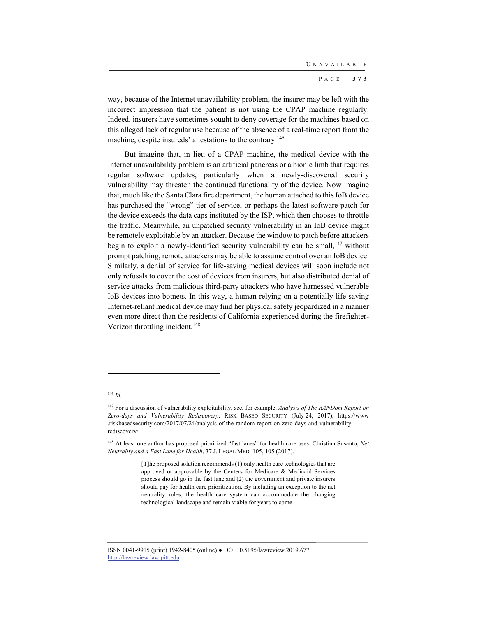way, because of the Internet unavailability problem, the insurer may be left with the incorrect impression that the patient is not using the CPAP machine regularly. Indeed, insurers have sometimes sought to deny coverage for the machines based on this alleged lack of regular use because of the absence of a real-time report from the machine, despite insureds' attestations to the contrary.146

But imagine that, in lieu of a CPAP machine, the medical device with the Internet unavailability problem is an artificial pancreas or a bionic limb that requires regular software updates, particularly when a newly-discovered security vulnerability may threaten the continued functionality of the device. Now imagine that, much like the Santa Clara fire department, the human attached to this IoB device has purchased the "wrong" tier of service, or perhaps the latest software patch for the device exceeds the data caps instituted by the ISP, which then chooses to throttle the traffic. Meanwhile, an unpatched security vulnerability in an IoB device might be remotely exploitable by an attacker. Because the window to patch before attackers begin to exploit a newly-identified security vulnerability can be small, $147$  without prompt patching, remote attackers may be able to assume control over an IoB device. Similarly, a denial of service for life-saving medical devices will soon include not only refusals to cover the cost of devices from insurers, but also distributed denial of service attacks from malicious third-party attackers who have harnessed vulnerable IoB devices into botnets. In this way, a human relying on a potentially life-saving Internet-reliant medical device may find her physical safety jeopardized in a manner even more direct than the residents of California experienced during the firefighter-Verizon throttling incident.<sup>148</sup>

#### <sup>146</sup> *Id.*

<sup>147</sup> For a discussion of vulnerability exploitability, see, for example, *Analysis of The RANDom Report on Zero-days and Vulnerability Rediscovery*, RISK BASED SECURITY (July 24, 2017), https://www .riskbasedsecurity.com/2017/07/24/analysis-of-the-random-report-on-zero-days-and-vulnerabilityrediscovery/.

<sup>148</sup> At least one author has proposed prioritized "fast lanes" for health care uses. Christina Susanto, *Net Neutrality and a Fast Lane for Health*, 37 J. LEGAL MED. 105, 105 (2017).

<sup>[</sup>T]he proposed solution recommends (1) only health care technologies that are approved or approvable by the Centers for Medicare & Medicaid Services process should go in the fast lane and (2) the government and private insurers should pay for health care prioritization. By including an exception to the net neutrality rules, the health care system can accommodate the changing technological landscape and remain viable for years to come.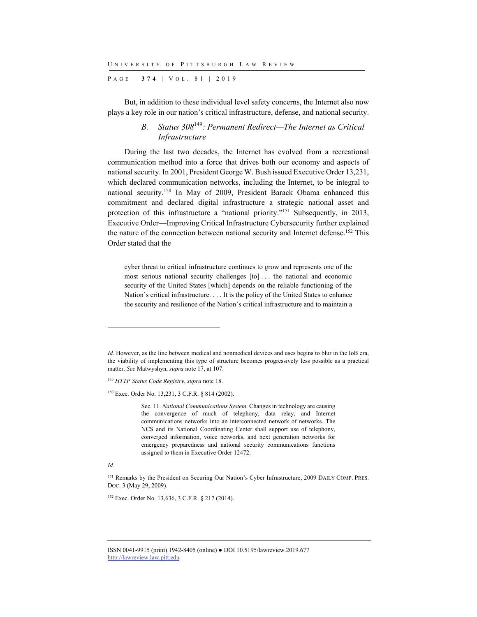P AGE | **374** | V O L . 8 1 | 2019

But, in addition to these individual level safety concerns, the Internet also now plays a key role in our nation's critical infrastructure, defense, and national security.

## *B. Status 308*<sup>149</sup>*: Permanent Redirect—The Internet as Critical Infrastructure*

During the last two decades, the Internet has evolved from a recreational communication method into a force that drives both our economy and aspects of national security. In 2001, President George W. Bush issued Executive Order 13,231, which declared communication networks, including the Internet, to be integral to national security.150 In May of 2009, President Barack Obama enhanced this commitment and declared digital infrastructure a strategic national asset and protection of this infrastructure a "national priority."151 Subsequently, in 2013, Executive Order—Improving Critical Infrastructure Cybersecurity further explained the nature of the connection between national security and Internet defense.152 This Order stated that the

cyber threat to critical infrastructure continues to grow and represents one of the most serious national security challenges [to] . . . the national and economic security of the United States [which] depends on the reliable functioning of the Nation's critical infrastructure. . . . It is the policy of the United States to enhance the security and resilience of the Nation's critical infrastructure and to maintain a

<sup>149</sup> *HTTP Status Code Registry*, *supra* note 18.

150 Exec. Order No. 13,231, 3 C.F.R. § 814 (2002).

Sec. 11. *National Communications System.* Changes in technology are causing the convergence of much of telephony, data relay, and Internet communications networks into an interconnected network of networks. The NCS and its National Coordinating Center shall support use of telephony, converged information, voice networks, and next generation networks for emergency preparedness and national security communications functions assigned to them in Executive Order 12472.

l

<sup>152</sup> Exec. Order No. 13,636, 3 C.F.R. § 217 (2014).

*Id.* However, as the line between medical and nonmedical devices and uses begins to blur in the IoB era, the viability of implementing this type of structure becomes progressively less possible as a practical matter. *See* Matwyshyn, *supra* note 17, at 107.

*Id.* 

<sup>&</sup>lt;sup>151</sup> Remarks by the President on Securing Our Nation's Cyber Infrastructure, 2009 DAILY COMP. PRES. DOC. 3 (May 29, 2009).

ISSN 0041-9915 (print) 1942-8405 (online) ● DOI 10.5195/lawreview.2019.677 http://lawreview.law.pitt.edu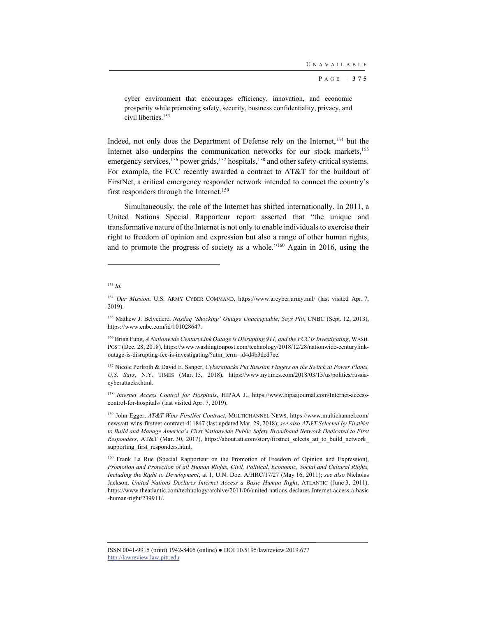cyber environment that encourages efficiency, innovation, and economic prosperity while promoting safety, security, business confidentiality, privacy, and civil liberties.153

Indeed, not only does the Department of Defense rely on the Internet,<sup>154</sup> but the Internet also underpins the communication networks for our stock markets,<sup>155</sup> emergency services,  $156$  power grids,  $157$  hospitals,  $158$  and other safety-critical systems. For example, the FCC recently awarded a contract to AT&T for the buildout of FirstNet, a critical emergency responder network intended to connect the country's first responders through the Internet.<sup>159</sup>

Simultaneously, the role of the Internet has shifted internationally. In 2011, a United Nations Special Rapporteur report asserted that "the unique and transformative nature of the Internet is not only to enable individuals to exercise their right to freedom of opinion and expression but also a range of other human rights, and to promote the progress of society as a whole."160 Again in 2016, using the

l

<sup>153</sup> *Id.*

<sup>154</sup> *Our Mission*, U.S. ARMY CYBER COMMAND, https://www.arcyber.army.mil/ (last visited Apr. 7, 2019).

<sup>155</sup> Mathew J. Belvedere, *Nasdaq 'Shocking' Outage Unacceptable, Says Pitt*, CNBC (Sept. 12, 2013), https://www.cnbc.com/id/101028647.

<sup>156</sup> Brian Fung, *A Nationwide CenturyLink Outage is Disrupting 911, and the FCC is Investigating*, WASH. POST (Dec. 28, 2018), https://www.washingtonpost.com/technology/2018/12/28/nationwide-centurylinkoutage-is-disrupting-fcc-is-investigating/?utm\_term=.d4d4b3dcd7ee.

<sup>157</sup> Nicole Perlroth & David E. Sanger, *Cyberattacks Put Russian Fingers on the Switch at Power Plants, U.S. Says*, N.Y. TIMES (Mar. 15, 2018), https://www.nytimes.com/2018/03/15/us/politics/russiacyberattacks.html.

<sup>158</sup> *Internet Access Control for Hospitals*, HIPAA J., https://www.hipaajournal.com/Internet-accesscontrol-for-hospitals/ (last visited Apr. 7, 2019).

<sup>159</sup> John Egger, *AT&T Wins FirstNet Contract*, MULTICHANNEL NEWS, https://www.multichannel.com/ news/att-wins-firstnet-contract-411847 (last updated Mar. 29, 2018); *see also AT&T Selected by FirstNet to Build and Manage America's First Nationwide Public Safety Broadband Network Dedicated to First Responders*, AT&T (Mar. 30, 2017), https://about.att.com/story/firstnet\_selects\_att\_to\_build\_network\_ supporting\_first\_responders.html.

<sup>160</sup> Frank La Rue (Special Rapporteur on the Promotion of Freedom of Opinion and Expression), *Promotion and Protection of all Human Rights, Civil, Political, Economic, Social and Cultural Rights, Including the Right to Development*, at 1, U.N. Doc. A/HRC/17/27 (May 16, 2011); *see also* Nicholas Jackson, *United Nations Declares Internet Access a Basic Human Right*, ATLANTIC (June 3, 2011), https://www.theatlantic.com/technology/archive/2011/06/united-nations-declares-Internet-access-a-basic -human-right/239911/.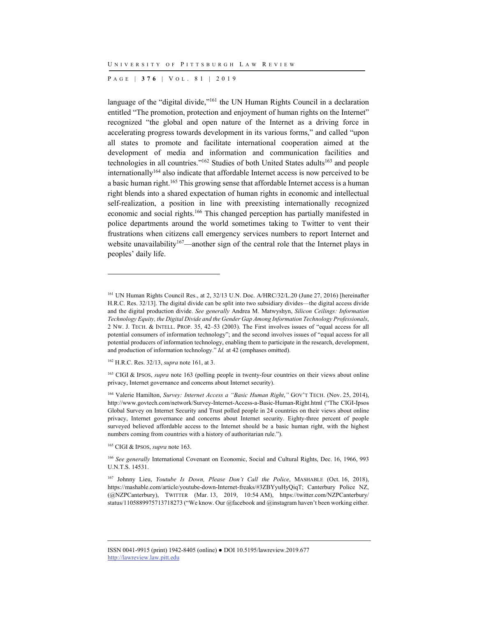P AGE | **376** | V O L . 8 1 | 2019

language of the "digital divide,"<sup>161</sup> the UN Human Rights Council in a declaration entitled "The promotion, protection and enjoyment of human rights on the Internet" recognized "the global and open nature of the Internet as a driving force in accelerating progress towards development in its various forms," and called "upon all states to promote and facilitate international cooperation aimed at the development of media and information and communication facilities and technologies in all countries."<sup>162</sup> Studies of both United States adults<sup>163</sup> and people  $intermationally<sup>164</sup>$  also indicate that affordable Internet access is now perceived to be a basic human right.165 This growing sense that affordable Internet access is a human right blends into a shared expectation of human rights in economic and intellectual self-realization, a position in line with preexisting internationally recognized economic and social rights.166 This changed perception has partially manifested in police departments around the world sometimes taking to Twitter to vent their frustrations when citizens call emergency services numbers to report Internet and website unavailability<sup>167</sup>—another sign of the central role that the Internet plays in peoples' daily life.

l

165 CIGI & IPSOS, *supra* note 163.

<sup>&</sup>lt;sup>161</sup> UN Human Rights Council Res., at 2, 32/13 U.N. Doc. A/HRC/32/L.20 (June 27, 2016) [hereinafter H.R.C. Res. 32/13]. The digital divide can be split into two subsidiary divides—the digital access divide and the digital production divide. *See generally* Andrea M. Matwyshyn, *Silicon Ceilings: Information Technology Equity, the Digital Divide and the Gender Gap Among Information Technology Professionals*, 2 NW. J. TECH. & INTELL. PROP. 35, 42–53 (2003). The First involves issues of "equal access for all potential consumers of information technology"; and the second involves issues of "equal access for all potential producers of information technology, enabling them to participate in the research, development, and production of information technology." *Id.* at 42 (emphases omitted).

<sup>162</sup> H.R.C. Res. 32/13, *supra* note 161, at 3.

<sup>163</sup> CIGI & IPSOS, *supra* note 163 (polling people in twenty-four countries on their views about online privacy, Internet governance and concerns about Internet security).

<sup>164</sup> Valerie Hamilton, *Survey: Internet Access a "Basic Human Right*,*"* GOV'T TECH. (Nov. 25, 2014), http://www.govtech.com/network/Survey-Internet-Access-a-Basic-Human-Right.html ("The CIGI-Ipsos Global Survey on Internet Security and Trust polled people in 24 countries on their views about online privacy, Internet governance and concerns about Internet security. Eighty-three percent of people surveyed believed affordable access to the Internet should be a basic human right, with the highest numbers coming from countries with a history of authoritarian rule.").

<sup>166</sup> *See generally* International Covenant on Economic, Social and Cultural Rights, Dec. 16, 1966, 993 U.N.T.S. 14531.

<sup>167</sup> Johnny Lieu, *Youtube Is Down, Please Don't Call the Police*, MASHABLE (Oct. 16, 2018), https://mashable.com/article/youtube-down-Internet-freaks/#3ZBYyuHyQiqT; Canterbury Police NZ, (@NZPCanterbury), TWITTER (Mar. 13, 2019, 10:54 AM), https://twitter.com/NZPCanterbury/ status/1105889975713718273 ("We know. Our @facebook and @instagram haven't been working either.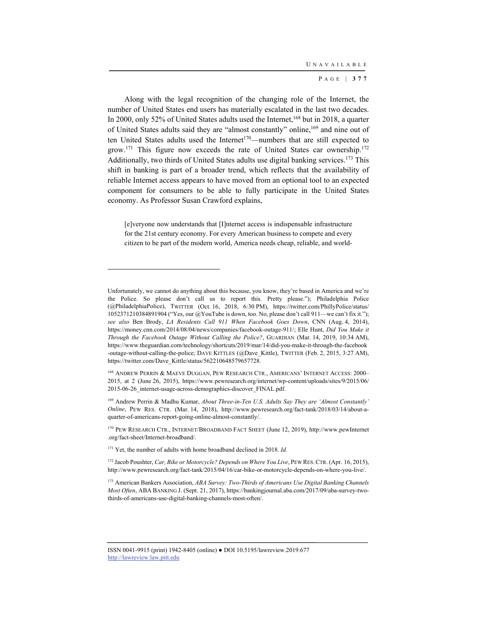Along with the legal recognition of the changing role of the Internet, the number of United States end users has materially escalated in the last two decades. In 2000, only 52% of United States adults used the Internet,<sup>168</sup> but in 2018, a quarter of United States adults said they are "almost constantly" online,169 and nine out of ten United States adults used the Internet<sup>170</sup>—numbers that are still expected to grow.<sup>171</sup> This figure now exceeds the rate of United States car ownership.<sup>172</sup> Additionally, two thirds of United States adults use digital banking services.<sup>173</sup> This shift in banking is part of a broader trend, which reflects that the availability of reliable Internet access appears to have moved from an optional tool to an expected component for consumers to be able to fully participate in the United States economy. As Professor Susan Crawford explains,

[e]veryone now understands that [I]nternet access is indispensable infrastructure for the 21st century economy. For every American business to compete and every citizen to be part of the modern world, America needs cheap, reliable, and world-

170 PEW RESEARCH CTR., INTERNET/BROADBAND FACT SHEET (June 12, 2019), http://www.pewInternet .org/fact-sheet/Internet-broadband/.

<sup>171</sup> Yet, the number of adults with home broadband declined in 2018. *Id.* 

Unfortunately, we cannot do anything about this because, you know, they're based in America and we're the Police. So please don't call us to report this. Pretty please."); Philadelphia Police (@PhiladelphiaPolice), TWITTER (Oct. 16, 2018, 6:30 PM), https://twitter.com/PhillyPolice/status/ 1052371210384891904 ("Yes, our @YouTube is down, too. No, please don't call 911—we can't fix it."); *see also* Ben Brody, *LA Residents Call 911 When Facebook Goes Down*, CNN (Aug. 4, 2014), https://money.cnn.com/2014/08/04/news/companies/facebook-outage-911/; Elle Hunt, *Did You Make it Through the Facebook Outage Without Calling the Police?*, GUARDIAN (Mar. 14, 2019, 10:34 AM), https://www.theguardian.com/technology/shortcuts/2019/mar/14/did-you-make-it-through-the-facebook -outage-without-calling-the-police; DAVE KITTLES (@Dave\_Kittle), TWITTER (Feb. 2, 2015, 3:27 AM), https://twitter.com/Dave\_Kittle/status/562210648579657728.

<sup>168</sup> ANDREW PERRIN & MAEVE DUGGAN, PEW RESEARCH CTR., AMERICANS' INTERNET ACCESS: 2000– 2015, at 2 (June 26, 2015), https://www.pewresearch.org/internet/wp-content/uploads/sites/9/2015/06/ 2015-06-26\_internet-usage-across-demographics-discover\_FINAL.pdf.

<sup>169</sup> Andrew Perrin & Madhu Kumar, *About Three-in-Ten U.S. Adults Say They are 'Almost Constantly' Online*, PEW RES. CTR. (Mar. 14, 2018), http://www.pewresearch.org/fact-tank/2018/03/14/about-aquarter-of-americans-report-going-online-almost-constantly/.

<sup>&</sup>lt;sup>172</sup> Jacob Poushter, *Car, Bike or Motorcycle? Depends on Where You Live*, PEW RES. CTR. (Apr. 16, 2015), http://www.pewresearch.org/fact-tank/2015/04/16/car-bike-or-motorcycle-depends-on-where-you-live/.

<sup>173</sup> American Bankers Association, *ABA Survey: Two-Thirds of Americans Use Digital Banking Channels Most Often*, ABA BANKING J. (Sept. 21, 2017), https://bankingjournal.aba.com/2017/09/aba-survey-twothirds-of-americans-use-digital-banking-channels-most-often/.

ISSN 0041-9915 (print) 1942-8405 (online) ● DOI 10.5195/lawreview.2019.677 http://lawreview.law.pitt.edu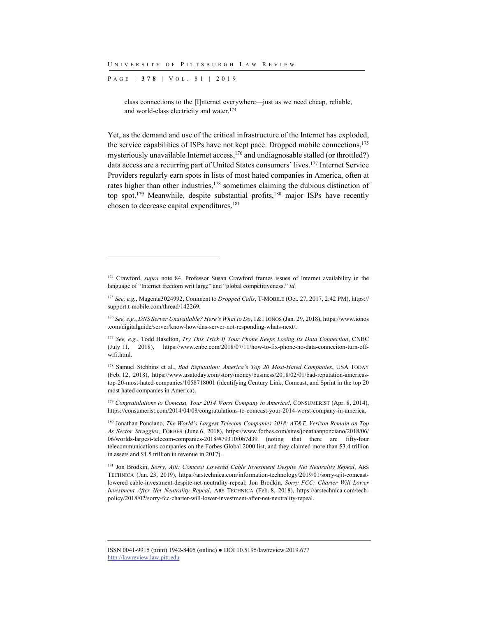P AGE | **378** | V O L . 8 1 | 2019

l

class connections to the [I]nternet everywhere—just as we need cheap, reliable, and world-class electricity and water.174

Yet, as the demand and use of the critical infrastructure of the Internet has exploded, the service capabilities of ISPs have not kept pace. Dropped mobile connections,<sup>175</sup> mysteriously unavailable Internet access,  $176$  and undiagnosable stalled (or throttled?) data access are a recurring part of United States consumers' lives.177 Internet Service Providers regularly earn spots in lists of most hated companies in America, often at rates higher than other industries,<sup>178</sup> sometimes claiming the dubious distinction of top spot.<sup>179</sup> Meanwhile, despite substantial profits,<sup>180</sup> major ISPs have recently chosen to decrease capital expenditures.<sup>181</sup>

181 Jon Brodkin, *Sorry, Ajit: Comcast Lowered Cable Investment Despite Net Neutrality Repeal*, ARS TECHNICA (Jan. 23, 2019), https://arstechnica.com/information-technology/2019/01/sorry-ajit-comcastlowered-cable-investment-despite-net-neutrality-repeal; Jon Brodkin, *Sorry FCC: Charter Will Lower Investment After Net Neutrality Repeal*, ARS TECHNICA (Feb. 8, 2018), https://arstechnica.com/techpolicy/2018/02/sorry-fcc-charter-will-lower-investment-after-net-neutrality-repeal.

<sup>&</sup>lt;sup>174</sup> Crawford, *supra* note 84. Professor Susan Crawford frames issues of Internet availability in the language of "Internet freedom writ large" and "global competitiveness." *Id.*

<sup>175</sup> *See, e.g.*, Magenta3024992, Comment to *Dropped Calls*, T-MOBILE (Oct. 27, 2017, 2:42 PM), https:// support.t-mobile.com/thread/142269.

<sup>176</sup> *See, e.g.*, *DNS Server Unavailable? Here's What to Do*, 1&1 IONOS (Jan. 29, 2018), https://www.ionos .com/digitalguide/server/know-how/dns-server-not-responding-whats-next/.

<sup>177</sup> *See, e.g.*, Todd Haselton, *Try This Trick If Your Phone Keeps Losing Its Data Connection*, CNBC (July 11, 2018), https://www.cnbc.com/2018/07/11/how-to-fix-phone-no-data-conneciton-turn-offwifi.html.

<sup>178</sup> Samuel Stebbins et al., *Bad Reputation: America's Top 20 Most-Hated Companies*, USA TODAY (Feb. 12, 2018), https://www.usatoday.com/story/money/business/2018/02/01/bad-reputation-americastop-20-most-hated-companies/1058718001 (identifying Century Link, Comcast, and Sprint in the top 20 most hated companies in America).

<sup>&</sup>lt;sup>179</sup> Congratulations to Comcast, Your 2014 Worst Company in America!, CONSUMERIST (Apr. 8, 2014), https://consumerist.com/2014/04/08/congratulations-to-comcast-your-2014-worst-company-in-america.

<sup>180</sup> Jonathan Ponciano, *The World's Largest Telecom Companies 2018: AT&T, Verizon Remain on Top As Sector Struggles*, FORBES (June 6, 2018), https://www.forbes.com/sites/jonathanponciano/2018/06/ 06/worlds-largest-telecom-companies-2018/#79310f0b7d39 (noting that there are fifty-four telecommunications companies on the Forbes Global 2000 list, and they claimed more than \$3.4 trillion in assets and \$1.5 trillion in revenue in 2017).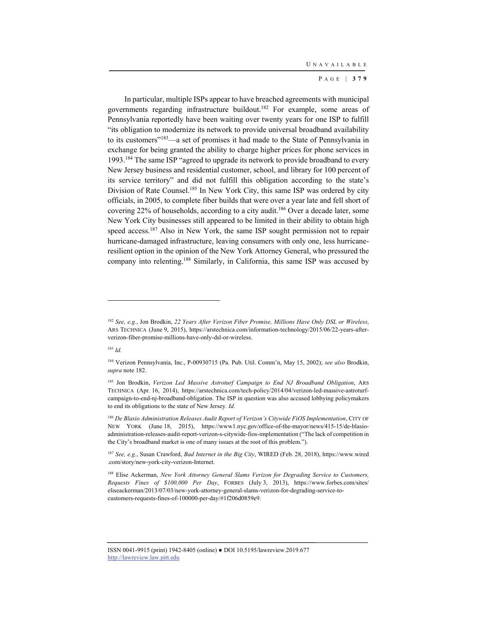In particular, multiple ISPs appear to have breached agreements with municipal governments regarding infrastructure buildout.182 For example, some areas of Pennsylvania reportedly have been waiting over twenty years for one ISP to fulfill "its obligation to modernize its network to provide universal broadband availability to its customers"183—a set of promises it had made to the State of Pennsylvania in exchange for being granted the ability to charge higher prices for phone services in 1993.184 The same ISP "agreed to upgrade its network to provide broadband to every New Jersey business and residential customer, school, and library for 100 percent of its service territory" and did not fulfill this obligation according to the state's Division of Rate Counsel.<sup>185</sup> In New York City, this same ISP was ordered by city officials, in 2005, to complete fiber builds that were over a year late and fell short of covering 22% of households, according to a city audit.<sup>186</sup> Over a decade later, some New York City businesses still appeared to be limited in their ability to obtain high speed access.187 Also in New York, the same ISP sought permission not to repair hurricane-damaged infrastructure, leaving consumers with only one, less hurricaneresilient option in the opinion of the New York Attorney General, who pressured the company into relenting.188 Similarly, in California, this same ISP was accused by

<sup>183</sup> *Id.*

<sup>182</sup> *See, e.g.*, Jon Brodkin, *22 Years After Verizon Fiber Promise, Millions Have Only DSL or Wireless*, ARS TECHNICA (June 9, 2015), https://arstechnica.com/information-technology/2015/06/22-years-afterverizon-fiber-promise-millions-have-only-dsl-or-wireless.

<sup>184</sup> Verizon Pennsylvania, Inc., P-00930715 (Pa. Pub. Util. Comm'n, May 15, 2002); *see also* Brodkin, *supra* note 182.

<sup>185</sup> Jon Brodkin, *Verizon Led Massive Astroturf Campaign to End NJ Broadband Obligation*, ARS TECHNICA (Apr. 16, 2014), https://arstechnica.com/tech-policy/2014/04/verizon-led-massive-astroturfcampaign-to-end-nj-broadband-obligation. The ISP in question was also accused lobbying policymakers to end its obligations to the state of New Jersey. *Id.*

<sup>&</sup>lt;sup>186</sup> De Blasio Administration Releases Audit Report of Verizon's Citywide FiOS Implementation, CITY OF NEW YORK (June 18, 2015), https://www1.nyc.gov/office-of-the-mayor/news/415-15/de-blasioadministration-releases-audit-report-verizon-s-citywide-fios-implementation ("The lack of competition in the City's broadband market is one of many issues at the root of this problem.").

<sup>187</sup> *See, e.g.*, Susan Crawford, *Bad Internet in the Big City*, WIRED (Feb. 28, 2018), https://www.wired .com/story/new-york-city-verizon-Internet.

<sup>&</sup>lt;sup>188</sup> Elise Ackerman, *New York Attorney General Slams Verizon for Degrading Service to Customers*, *Requests Fines of \$100,000 Per Day*, FORBES (July 3, 2013), https://www.forbes.com/sites/ eliseackerman/2013/07/03/new-york-attorney-general-slams-verizon-for-degrading-service-tocustomers-requests-fines-of-100000-per-day/#1f206d0859e9.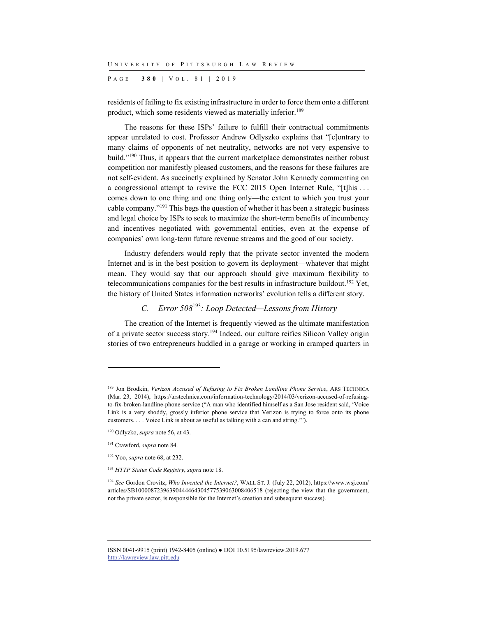P AGE | **380** | V O L . 8 1 | 2019

residents of failing to fix existing infrastructure in order to force them onto a different product, which some residents viewed as materially inferior.<sup>189</sup>

The reasons for these ISPs' failure to fulfill their contractual commitments appear unrelated to cost. Professor Andrew Odlyszko explains that "[c]ontrary to many claims of opponents of net neutrality, networks are not very expensive to build."190 Thus, it appears that the current marketplace demonstrates neither robust competition nor manifestly pleased customers, and the reasons for these failures are not self-evident. As succinctly explained by Senator John Kennedy commenting on a congressional attempt to revive the FCC 2015 Open Internet Rule, "[t]his . . . comes down to one thing and one thing only—the extent to which you trust your cable company."191 This begs the question of whether it has been a strategic business and legal choice by ISPs to seek to maximize the short-term benefits of incumbency and incentives negotiated with governmental entities, even at the expense of companies' own long-term future revenue streams and the good of our society.

Industry defenders would reply that the private sector invented the modern Internet and is in the best position to govern its deployment—whatever that might mean. They would say that our approach should give maximum flexibility to telecommunications companies for the best results in infrastructure buildout.192 Yet, the history of United States information networks' evolution tells a different story.

# *C. Error 508*<sup>193</sup>*: Loop Detected—Lessons from History*

The creation of the Internet is frequently viewed as the ultimate manifestation of a private sector success story.194 Indeed, our culture reifies Silicon Valley origin stories of two entrepreneurs huddled in a garage or working in cramped quarters in

<sup>189</sup> Jon Brodkin, *Verizon Accused of Refusing to Fix Broken Landline Phone Service*, ARS TECHNICA (Mar. 23, 2014), https://arstechnica.com/information-technology/2014/03/verizon-accused-of-refusingto-fix-broken-landline-phone-service ("A man who identified himself as a San Jose resident said, 'Voice Link is a very shoddy, grossly inferior phone service that Verizon is trying to force onto its phone customers. . . . Voice Link is about as useful as talking with a can and string.'").

<sup>190</sup> Odlyzko, *supra* note 56, at 43.

<sup>191</sup> Crawford, *supra* note 84.

<sup>192</sup> Yoo, *supra* note 68, at 232.

<sup>193</sup> *HTTP Status Code Registry*, *supra* note 18.

<sup>194</sup> *See* Gordon Crovitz, *Who Invented the Internet?*, WALL ST. J. (July 22, 2012), https://www.wsj.com/ articles/SB10000872396390444464304577539063008406518 (rejecting the view that the government, not the private sector, is responsible for the Internet's creation and subsequent success).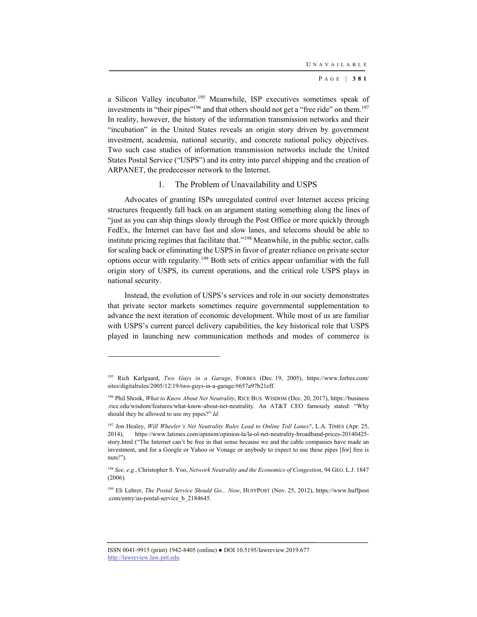a Silicon Valley incubator.195 Meanwhile, ISP executives sometimes speak of investments in "their pipes"<sup>196</sup> and that others should not get a "free ride" on them.<sup>197</sup> In reality, however, the history of the information transmission networks and their "incubation" in the United States reveals an origin story driven by government investment, academia, national security, and concrete national policy objectives. Two such case studies of information transmission networks include the United States Postal Service ("USPS") and its entry into parcel shipping and the creation of ARPANET, the predecessor network to the Internet.

#### 1. The Problem of Unavailability and USPS

Advocates of granting ISPs unregulated control over Internet access pricing structures frequently fall back on an argument stating something along the lines of "just as you can ship things slowly through the Post Office or more quickly through FedEx, the Internet can have fast and slow lanes, and telecoms should be able to institute pricing regimes that facilitate that."198 Meanwhile, in the public sector, calls for scaling back or eliminating the USPS in favor of greater reliance on private sector options occur with regularity.199 Both sets of critics appear unfamiliar with the full origin story of USPS, its current operations, and the critical role USPS plays in national security.

Instead, the evolution of USPS's services and role in our society demonstrates that private sector markets sometimes require governmental supplementation to advance the next iteration of economic development. While most of us are familiar with USPS's current parcel delivery capabilities, the key historical role that USPS played in launching new communication methods and modes of commerce is

<sup>195</sup> Rich Karlgaard, *Two Guys in a Garage*, FORBES (Dec. 19, 2005), https://www.forbes.com/ sites/digitalrules/2005/12/19/two-guys-in-a-garage/#657a97b21eff.

<sup>196</sup> Phil Shook, *What to Know About Net Neutrality*, RICE BUS. WISDOM (Dec. 20, 2017), https://business .rice.edu/wisdom/features/what-know-about-net-neutrality. An AT&T CEO famously stated: "Why should they be allowed to use my pipes?" *Id.*

<sup>197</sup> Jon Healey, *Will Wheeler's Net Neutrality Rules Lead to Online Toll Lanes?*, L.A. TIMES (Apr. 25, 2014), https://www.latimes.com/opinion/opinion-la/la-ol-net-neutrality-broadband-prices-20140425 story.html ("The Internet can't be free in that sense because we and the cable companies have made an investment, and for a Google or Yahoo or Vonage or anybody to expect to use these pipes [for] free is nuts!").

<sup>198</sup> *See, e.g.*, Christopher S. Yoo, *Network Neutrality and the Economics of Congestion*, 94 GEO. L.J. 1847 (2006).

<sup>199</sup> Eli Lehrer, *The Postal Service Should Go... Now*, HUFFPOST (Nov. 25, 2012), https://www.huffpost .com/entry/us-postal-service\_b\_2184645.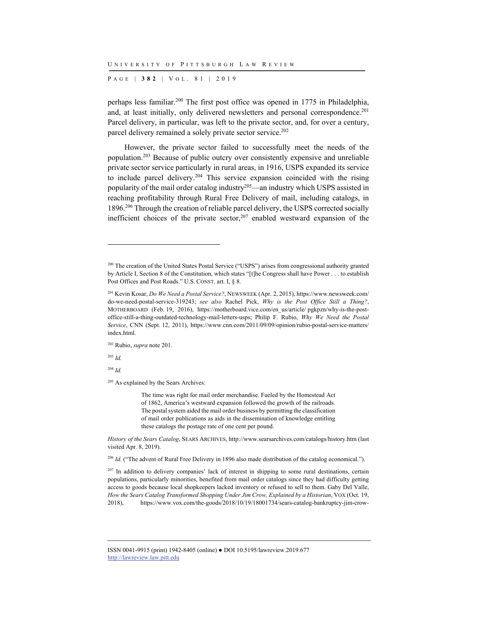P AGE | **382** | V O L . 8 1 | 2019

perhaps less familiar.200 The first post office was opened in 1775 in Philadelphia, and, at least initially, only delivered newsletters and personal correspondence.<sup>201</sup> Parcel delivery, in particular, was left to the private sector, and, for over a century, parcel delivery remained a solely private sector service.<sup>202</sup>

However, the private sector failed to successfully meet the needs of the population.203 Because of public outcry over consistently expensive and unreliable private sector service particularly in rural areas, in 1916, USPS expanded its service to include parcel delivery.204 This service expansion coincided with the rising popularity of the mail order catalog industry<sup>205</sup>—an industry which USPS assisted in reaching profitability through Rural Free Delivery of mail, including catalogs, in 1896.206 Through the creation of reliable parcel delivery, the USPS corrected socially inefficient choices of the private sector, $207$  enabled westward expansion of the

202 Rubio, *supra* note 201.

<sup>203</sup> *Id.*

l

<sup>204</sup> *Id.*

<sup>205</sup> As explained by the Sears Archives:

The time was right for mail order merchandise. Fueled by the Homestead Act of 1862, America's westward expansion followed the growth of the railroads. The postal system aided the mail order business by permitting the classification of mail order publications as aids in the dissemination of knowledge entitling these catalogs the postage rate of one cent per pound.

*History of the Sears Catalog*, SEARS ARCHIVES, http://www.searsarchives.com/catalogs/history.htm (last visited Apr. 8, 2019).

<sup>206</sup> *Id.* ("The advent of Rural Free Delivery in 1896 also made distribution of the catalog economical.").

<sup>207</sup> In addition to delivery companies' lack of interest in shipping to some rural destinations, certain populations, particularly minorities, benefited from mail order catalogs since they had difficulty getting access to goods because local shopkeepers lacked inventory or refused to sell to them. Gaby Del Valle, *How the Sears Catalog Transformed Shopping Under Jim Crow, Explained by a Historian*, VOX (Oct. 19, 2018), https://www.vox.com/the-goods/2018/10/19/18001734/sears-catalog-bankruptcy-jim-crow-

<sup>&</sup>lt;sup>200</sup> The creation of the United States Postal Service ("USPS") arises from congressional authority granted by Article I, Section 8 of the Constitution, which states "[t]he Congress shall have Power . . . to establish Post Offices and Post Roads." U.S. CONST. art. I, § 8.

<sup>201</sup> Kevin Kosar, *Do We Need a Postal Service?*, NEWSWEEK (Apr. 2, 2015), https://www.newsweek.com/ do-we-need-postal-service-319243; *see also* Rachel Pick, *Why is the Post Office Still a Thing?*, MOTHERBOARD (Feb. 19, 2016), https://motherboard.vice.com/en\_us/article/ pgkpzn/why-is-the-postoffice-still-a-thing-outdated-technology-mail-letters-usps; Philip F. Rubio, *Why We Need the Postal Service*, CNN (Sept. 12, 2011), https://www.cnn.com/2011/09/09/opinion/rubio-postal-service-matters/ index.html.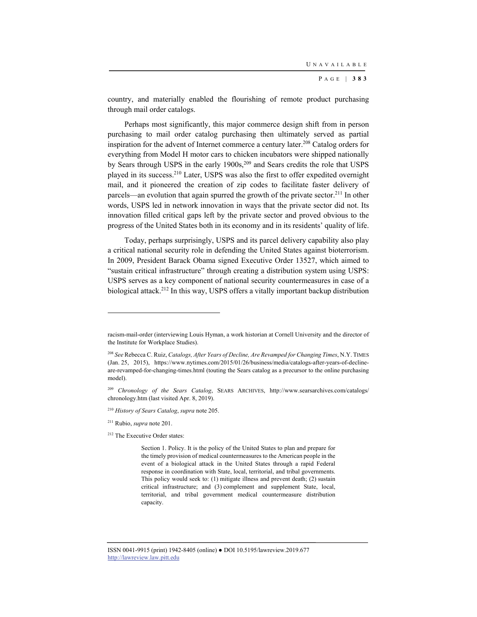country, and materially enabled the flourishing of remote product purchasing through mail order catalogs.

Perhaps most significantly, this major commerce design shift from in person purchasing to mail order catalog purchasing then ultimately served as partial inspiration for the advent of Internet commerce a century later. 208 Catalog orders for everything from Model H motor cars to chicken incubators were shipped nationally by Sears through USPS in the early 1900s,<sup>209</sup> and Sears credits the role that USPS played in its success.210 Later, USPS was also the first to offer expedited overnight mail, and it pioneered the creation of zip codes to facilitate faster delivery of parcels—an evolution that again spurred the growth of the private sector.211 In other words, USPS led in network innovation in ways that the private sector did not. Its innovation filled critical gaps left by the private sector and proved obvious to the progress of the United States both in its economy and in its residents' quality of life.

Today, perhaps surprisingly, USPS and its parcel delivery capability also play a critical national security role in defending the United States against bioterrorism. In 2009, President Barack Obama signed Executive Order 13527, which aimed to "sustain critical infrastructure" through creating a distribution system using USPS: USPS serves as a key component of national security countermeasures in case of a biological attack.212 In this way, USPS offers a vitally important backup distribution

racism-mail-order (interviewing Louis Hyman, a work historian at Cornell University and the director of the Institute for Workplace Studies).

<sup>208</sup> *See* Rebecca C. Ruiz, *Catalogs, After Years of Decline, Are Revamped for Changing Times*, N.Y. TIMES (Jan. 25, 2015), https://www.nytimes.com/2015/01/26/business/media/catalogs-after-years-of-declineare-revamped-for-changing-times.html (touting the Sears catalog as a precursor to the online purchasing model).

<sup>209</sup> *Chronology of the Sears Catalog*, SEARS ARCHIVES, http://www.searsarchives.com/catalogs/ chronology.htm (last visited Apr. 8, 2019).

<sup>210</sup> *History of Sears Catalog*, *supra* note 205.

<sup>211</sup> Rubio, *supra* note 201.

<sup>212</sup> The Executive Order states:

Section 1. Policy. It is the policy of the United States to plan and prepare for the timely provision of medical countermeasures to the American people in the event of a biological attack in the United States through a rapid Federal response in coordination with State, local, territorial, and tribal governments. This policy would seek to: (1) mitigate illness and prevent death; (2) sustain critical infrastructure; and (3) complement and supplement State, local, territorial, and tribal government medical countermeasure distribution capacity.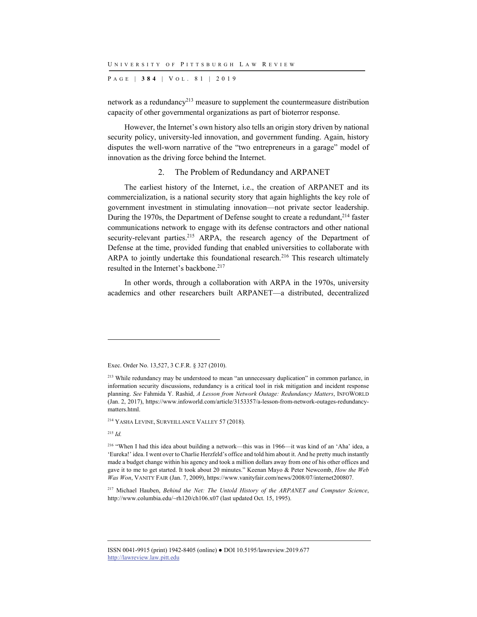P AGE | **384** | V O L . 8 1 | 2019

network as a redundancy<sup>213</sup> measure to supplement the countermeasure distribution capacity of other governmental organizations as part of bioterror response.

However, the Internet's own history also tells an origin story driven by national security policy, university-led innovation, and government funding. Again, history disputes the well-worn narrative of the "two entrepreneurs in a garage" model of innovation as the driving force behind the Internet.

### 2. The Problem of Redundancy and ARPANET

The earliest history of the Internet, i.e., the creation of ARPANET and its commercialization, is a national security story that again highlights the key role of government investment in stimulating innovation—not private sector leadership. During the 1970s, the Department of Defense sought to create a redundant, $2^{14}$  faster communications network to engage with its defense contractors and other national security-relevant parties.<sup>215</sup> ARPA, the research agency of the Department of Defense at the time, provided funding that enabled universities to collaborate with ARPA to jointly undertake this foundational research.<sup>216</sup> This research ultimately resulted in the Internet's backbone.<sup>217</sup>

In other words, through a collaboration with ARPA in the 1970s, university academics and other researchers built ARPANET—a distributed, decentralized

214 YASHA LEVINE, SURVEILLANCE VALLEY 57 (2018).

<sup>215</sup> *Id.*

l

Exec. Order No. 13,527, 3 C.F.R. § 327 (2010).

<sup>&</sup>lt;sup>213</sup> While redundancy may be understood to mean "an unnecessary duplication" in common parlance, in information security discussions, redundancy is a critical tool in risk mitigation and incident response planning. *See* Fahmida Y. Rashid, *A Lesson from Network Outage: Redundancy Matters*, INFOWORLD (Jan. 2, 2017), https://www.infoworld.com/article/3153357/a-lesson-from-network-outages-redundancymatters.html.

<sup>&</sup>lt;sup>216</sup> "When I had this idea about building a network—this was in 1966—it was kind of an 'Aha' idea, a 'Eureka!' idea. I went over to Charlie Herzfeld's office and told him about it. And he pretty much instantly made a budget change within his agency and took a million dollars away from one of his other offices and gave it to me to get started. It took about 20 minutes." Keenan Mayo & Peter Newcomb, *How the Web Was Won*, VANITY FAIR (Jan. 7, 2009), https://www.vanityfair.com/news/2008/07/internet200807.

<sup>217</sup> Michael Hauben, *Behind the Net: The Untold History of the ARPANET and Computer Science*, http://www.columbia.edu/~rh120/ch106.x07 (last updated Oct. 15, 1995).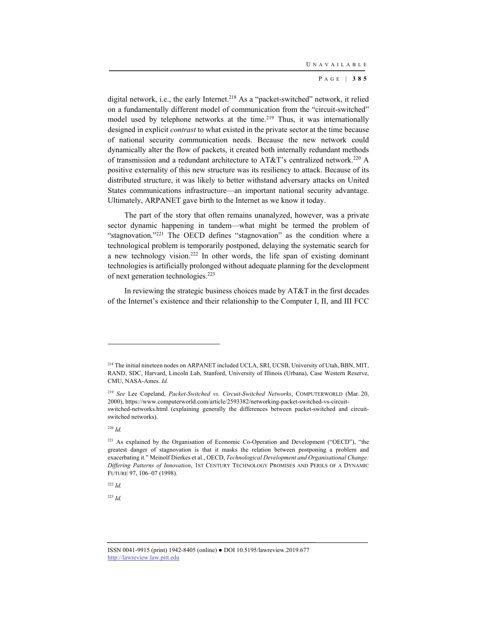digital network, i.e., the early Internet.<sup>218</sup> As a "packet-switched" network, it relied on a fundamentally different model of communication from the "circuit-switched" model used by telephone networks at the time.<sup>219</sup> Thus, it was internationally designed in explicit *contrast* to what existed in the private sector at the time because of national security communication needs. Because the new network could dynamically alter the flow of packets, it created both internally redundant methods of transmission and a redundant architecture to AT&T's centralized network.<sup>220</sup> A positive externality of this new structure was its resiliency to attack. Because of its distributed structure, it was likely to better withstand adversary attacks on United States communications infrastructure—an important national security advantage. Ultimately, ARPANET gave birth to the Internet as we know it today.

The part of the story that often remains unanalyzed, however, was a private sector dynamic happening in tandem—what might be termed the problem of "stagnovation."<sup>221</sup> The OECD defines "stagnovation" as the condition where a technological problem is temporarily postponed, delaying the systematic search for a new technology vision.222 In other words, the life span of existing dominant technologies is artificially prolonged without adequate planning for the development of next generation technologies.223

In reviewing the strategic business choices made by AT&T in the first decades of the Internet's existence and their relationship to the Computer I, II, and III FCC

l

<sup>222</sup> *Id.*

<sup>223</sup> *Id.*

<sup>&</sup>lt;sup>218</sup> The initial nineteen nodes on ARPANET included UCLA, SRI, UCSB, University of Utah, BBN, MIT, RAND, SDC, Harvard, Lincoln Lab, Stanford, University of Illinois (Urbana), Case Western Reserve, CMU, NASA-Ames. *Id.*

<sup>219</sup> *See* Lee Copeland, *Packet-Switched vs. Circuit-Switched Networks*, COMPUTERWORLD (Mar. 20, 2000), https://www.computerworld.com/article/2593382/networking-packet-switched-vs-circuitswitched-networks.html (explaining generally the differences between packet-switched and circuitswitched networks).

<sup>220</sup> *Id.*

<sup>&</sup>lt;sup>221</sup> As explained by the Organisation of Economic Co-Operation and Development ("OECD"), "the greatest danger of stagnovation is that it masks the relation between postponing a problem and exacerbating it." Meinolf Dierkes et al., OECD, *Technological Development and Organisational Change: Differing Patterns of Innovation*, 1ST CENTURY TECHNOLOGY PROMISES AND PERILS OF A DYNAMIC FUTURE 97, 106–07 (1998).

ISSN 0041-9915 (print) 1942-8405 (online) ● DOI 10.5195/lawreview.2019.677 http://lawreview.law.pitt.edu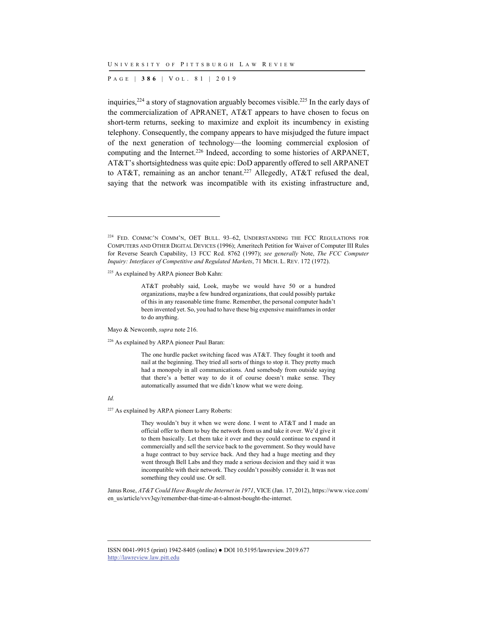P AGE | **386** | V O L . 8 1 | 2019

inquiries,  $224$  a story of stagnovation arguably becomes visible.  $225$  In the early days of the commercialization of APRANET, AT&T appears to have chosen to focus on short-term returns, seeking to maximize and exploit its incumbency in existing telephony. Consequently, the company appears to have misjudged the future impact of the next generation of technology—the looming commercial explosion of computing and the Internet.<sup>226</sup> Indeed, according to some histories of ARPANET, AT&T's shortsightedness was quite epic: DoD apparently offered to sell ARPANET to AT&T, remaining as an anchor tenant.<sup>227</sup> Allegedly, AT&T refused the deal, saying that the network was incompatible with its existing infrastructure and,

225 As explained by ARPA pioneer Bob Kahn:

AT&T probably said, Look, maybe we would have 50 or a hundred organizations, maybe a few hundred organizations, that could possibly partake of this in any reasonable time frame. Remember, the personal computer hadn't been invented yet. So, you had to have these big expensive mainframes in order to do anything.

Mayo & Newcomb, *supra* note 216.

<sup>226</sup> As explained by ARPA pioneer Paul Baran:

The one hurdle packet switching faced was AT&T. They fought it tooth and nail at the beginning. They tried all sorts of things to stop it. They pretty much had a monopoly in all communications. And somebody from outside saying that there's a better way to do it of course doesn't make sense. They automatically assumed that we didn't know what we were doing.

#### *Id.*

l

<sup>227</sup> As explained by ARPA pioneer Larry Roberts:

They wouldn't buy it when we were done. I went to AT&T and I made an official offer to them to buy the network from us and take it over. We'd give it to them basically. Let them take it over and they could continue to expand it commercially and sell the service back to the government. So they would have a huge contract to buy service back. And they had a huge meeting and they went through Bell Labs and they made a serious decision and they said it was incompatible with their network. They couldn't possibly consider it. It was not something they could use. Or sell.

Janus Rose, *AT&T Could Have Bought the Internet in 1971*, VICE (Jan. 17, 2012), https://www.vice.com/ en\_us/article/vvv3qy/remember-that-time-at-t-almost-bought-the-internet.

<sup>224</sup> FED. COMMC'N COMM'N, OET BULL. 93–62, UNDERSTANDING THE FCC REGULATIONS FOR COMPUTERS AND OTHER DIGITAL DEVICES (1996); Ameritech Petition for Waiver of Computer III Rules for Reverse Search Capability, 13 FCC Rcd. 8762 (1997); *see generally* Note, *The FCC Computer Inquiry: Interfaces of Competitive and Regulated Markets*, 71 MICH. L. REV. 172 (1972).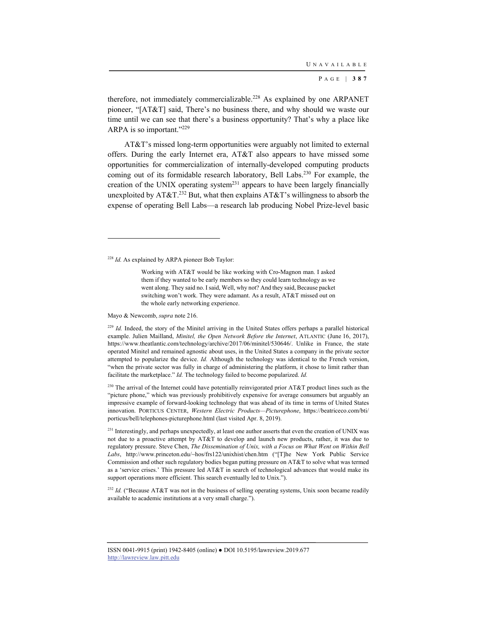therefore, not immediately commercializable.<sup>228</sup> As explained by one ARPANET pioneer, "[AT&T] said, There's no business there, and why should we waste our time until we can see that there's a business opportunity? That's why a place like ARPA is so important."229

AT&T's missed long-term opportunities were arguably not limited to external offers. During the early Internet era, AT&T also appears to have missed some opportunities for commercialization of internally-developed computing products coming out of its formidable research laboratory, Bell Labs.230 For example, the creation of the UNIX operating system<sup>231</sup> appears to have been largely financially unexploited by  $AT&T<sup>232</sup>$  But, what then explains  $AT&T$ 's willingness to absorb the expense of operating Bell Labs—a research lab producing Nobel Prize-level basic

Mayo & Newcomb, *supra* note 216.

l

<sup>229</sup> *Id.* Indeed, the story of the Minitel arriving in the United States offers perhaps a parallel historical example. Julien Mailland, *Minitel, the Open Network Before the Internet*, ATLANTIC (June 16, 2017), https://www.theatlantic.com/technology/archive/2017/06/minitel/530646/. Unlike in France, the state operated Minitel and remained agnostic about uses, in the United States a company in the private sector attempted to popularize the device. *Id.* Although the technology was identical to the French version, "when the private sector was fully in charge of administering the platform, it chose to limit rather than facilitate the marketplace." *Id.* The technology failed to become popularized. *Id.*

<sup>230</sup> The arrival of the Internet could have potentially reinvigorated prior AT&T product lines such as the "picture phone," which was previously prohibitively expensive for average consumers but arguably an impressive example of forward-looking technology that was ahead of its time in terms of United States innovation. PORTICUS CENTER, *Western Electric Products—Picturephone*, https://beatriceco.com/bti/ porticus/bell/telephones-picturephone.html (last visited Apr. 8, 2019).

<sup>231</sup> Interestingly, and perhaps unexpectedly, at least one author asserts that even the creation of UNIX was not due to a proactive attempt by AT&T to develop and launch new products, rather, it was due to regulatory pressure. Steve Chen, *The Dissemination of Unix, with a Focus on What Went on Within Bell*  Labs, http://www.princeton.edu/~hos/frs122/unixhist/chen.htm ("[T]he New York Public Service Commission and other such regulatory bodies began putting pressure on AT&T to solve what was termed as a 'service crises.' This pressure led AT&T in search of technological advances that would make its support operations more efficient. This search eventually led to Unix.").

<sup>232</sup> Id. ("Because AT&T was not in the business of selling operating systems, Unix soon became readily available to academic institutions at a very small charge.").

<sup>228</sup> *Id.* As explained by ARPA pioneer Bob Taylor:

Working with AT&T would be like working with Cro-Magnon man. I asked them if they wanted to be early members so they could learn technology as we went along. They said no. I said, Well, why not? And they said, Because packet switching won't work. They were adamant. As a result, AT&T missed out on the whole early networking experience.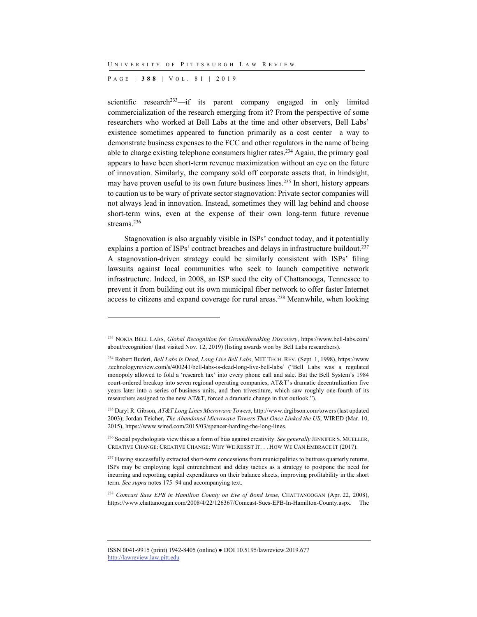P AGE | **388** | V O L . 8 1 | 2019

l

scientific research<sup>233</sup>—if its parent company engaged in only limited commercialization of the research emerging from it? From the perspective of some researchers who worked at Bell Labs at the time and other observers, Bell Labs' existence sometimes appeared to function primarily as a cost center—a way to demonstrate business expenses to the FCC and other regulators in the name of being able to charge existing telephone consumers higher rates.234 Again, the primary goal appears to have been short-term revenue maximization without an eye on the future of innovation. Similarly, the company sold off corporate assets that, in hindsight, may have proven useful to its own future business lines.235 In short, history appears to caution us to be wary of private sector stagnovation: Private sector companies will not always lead in innovation. Instead, sometimes they will lag behind and choose short-term wins, even at the expense of their own long-term future revenue streams.<sup>236</sup>

Stagnovation is also arguably visible in ISPs' conduct today, and it potentially explains a portion of ISPs' contract breaches and delays in infrastructure buildout.<sup>237</sup> A stagnovation-driven strategy could be similarly consistent with ISPs' filing lawsuits against local communities who seek to launch competitive network infrastructure. Indeed, in 2008, an ISP sued the city of Chattanooga, Tennessee to prevent it from building out its own municipal fiber network to offer faster Internet access to citizens and expand coverage for rural areas.238 Meanwhile, when looking

<sup>233</sup> NOKIA BELL LABS, *Global Recognition for Groundbreaking Discovery*, https://www.bell-labs.com/ about/recognition/ (last visited Nov. 12, 2019) (listing awards won by Bell Labs researchers).

<sup>234</sup> Robert Buderi, *Bell Labs is Dead, Long Live Bell Labs*, MIT TECH. REV. (Sept. 1, 1998), https://www .technologyreview.com/s/400241/bell-labs-is-dead-long-live-bell-labs/ ("Bell Labs was a regulated monopoly allowed to fold a 'research tax' into every phone call and sale. But the Bell System's 1984 court-ordered breakup into seven regional operating companies, AT&T's dramatic decentralization five years later into a series of business units, and then trivestiture, which saw roughly one-fourth of its researchers assigned to the new AT&T, forced a dramatic change in that outlook.").

<sup>235</sup> Daryl R. Gibson, *AT&T Long Lines Microwave Towers*, http://www.drgibson.com/towers (last updated 2003); Jordan Teicher, *The Abandoned Microwave Towers That Once Linked the US*, WIRED (Mar. 10, 2015), https://www.wired.com/2015/03/spencer-harding-the-long-lines.

<sup>&</sup>lt;sup>236</sup> Social psychologists view this as a form of bias against creativity. *See generally* JENNIFER S. MUELLER, CREATIVE CHANGE: CREATIVE CHANGE: WHY WE RESIST IT. . . HOW WE CAN EMBRACE IT (2017).

<sup>&</sup>lt;sup>237</sup> Having successfully extracted short-term concessions from municipalities to buttress quarterly returns, ISPs may be employing legal entrenchment and delay tactics as a strategy to postpone the need for incurring and reporting capital expenditures on their balance sheets, improving profitability in the short term. *See supra* notes 175–94 and accompanying text.

<sup>238</sup> *Comcast Sues EPB in Hamilton County on Eve of Bond Issue*, CHATTANOOGAN (Apr. 22, 2008), https://www.chattanoogan.com/2008/4/22/126367/Comcast-Sues-EPB-In-Hamilton-County.aspx. The

ISSN 0041-9915 (print) 1942-8405 (online) ● DOI 10.5195/lawreview.2019.677 http://lawreview.law.pitt.edu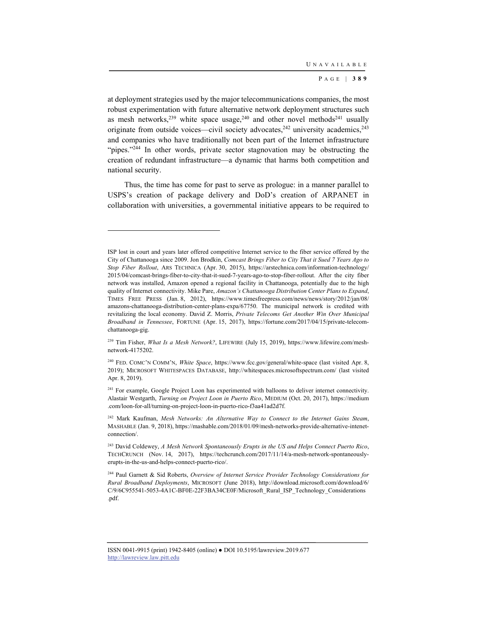at deployment strategies used by the major telecommunications companies, the most robust experimentation with future alternative network deployment structures such as mesh networks,<sup>239</sup> white space usage,<sup>240</sup> and other novel methods<sup>241</sup> usually originate from outside voices—civil society advocates, $242$  university academics, $243$ and companies who have traditionally not been part of the Internet infrastructure "pipes."<sup>244</sup> In other words, private sector stagnovation may be obstructing the creation of redundant infrastructure—a dynamic that harms both competition and national security.

Thus, the time has come for past to serve as prologue: in a manner parallel to USPS's creation of package delivery and DoD's creation of ARPANET in collaboration with universities, a governmental initiative appears to be required to

ISP lost in court and years later offered competitive Internet service to the fiber service offered by the City of Chattanooga since 2009. Jon Brodkin, *Comcast Brings Fiber to City That it Sued 7 Years Ago to Stop Fiber Rollout*, ARS TECHNICA (Apr. 30, 2015), https://arstechnica.com/information-technology/ 2015/04/comcast-brings-fiber-to-city-that-it-sued-7-years-ago-to-stop-fiber-rollout. After the city fiber network was installed, Amazon opened a regional facility in Chattanooga, potentially due to the high quality of Internet connectivity. Mike Pare, *Amazon's Chattanooga Distribution Center Plans to Expand*, TIMES FREE PRESS (Jan. 8, 2012), https://www.timesfreepress.com/news/news/story/2012/jan/08/ amazons-chattanooga-distribution-center-plans-expa/67750. The municipal network is credited with revitalizing the local economy. David Z. Morris, *Private Telecoms Get Another Win Over Municipal Broadband in Tennessee*, FORTUNE (Apr. 15, 2017), https://fortune.com/2017/04/15/private-telecomchattanooga-gig.

<sup>239</sup> Tim Fisher, *What Is a Mesh Network?*, LIFEWIRE (July 15, 2019), https://www.lifewire.com/meshnetwork-4175202.

<sup>240</sup> FED. COMC'N COMM'N, *White Space*, https://www.fcc.gov/general/white-space (last visited Apr. 8, 2019); MICROSOFT WHITESPACES DATABASE, http://whitespaces.microsoftspectrum.com/ (last visited Apr. 8, 2019).

<sup>&</sup>lt;sup>241</sup> For example, Google Project Loon has experimented with balloons to deliver internet connectivity. Alastair Westgarth, *Turning on Project Loon in Puerto Rico*, MEDIUM (Oct. 20, 2017), https://medium .com/loon-for-all/turning-on-project-loon-in-puerto-rico-f3aa41ad2d7f.

<sup>242</sup> Mark Kaufman, *Mesh Networks: An Alternative Way to Connect to the Internet Gains Steam*, MASHABLE (Jan. 9, 2018), https://mashable.com/2018/01/09/mesh-networks-provide-alternative-intenetconnection/.

<sup>243</sup> David Coldewey, *A Mesh Network Spontaneously Erupts in the US and Helps Connect Puerto Rico*, TECHCRUNCH (Nov. 14, 2017), https://techcrunch.com/2017/11/14/a-mesh-network-spontaneouslyerupts-in-the-us-and-helps-connect-puerto-rico/.

<sup>244</sup> Paul Garnett & Sid Roberts, *Overview of Internet Service Provider Technology Considerations for Rural Broadband Deployments*, MICROSOFT (June 2018), http://download.microsoft.com/download/6/ C/9/6C955541-5053-4A1C-BF0E-22F3BA34CE0F/Microsoft\_Rural\_ISP\_Technology\_Considerations .pdf.

ISSN 0041-9915 (print) 1942-8405 (online) ● DOI 10.5195/lawreview.2019.677 http://lawreview.law.pitt.edu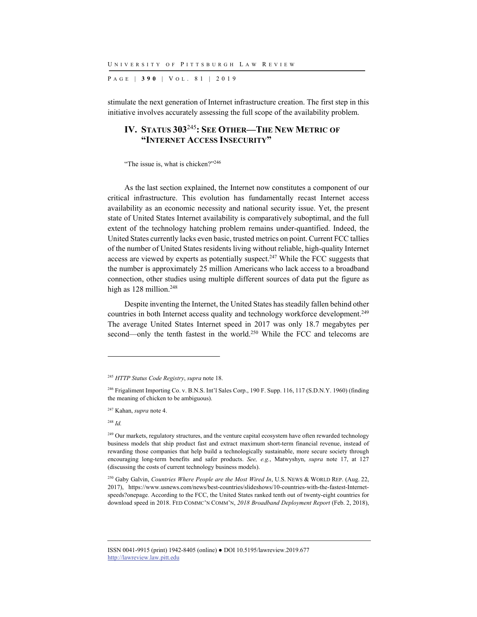P AGE | **390** | V O L . 8 1 | 2019

stimulate the next generation of Internet infrastructure creation. The first step in this initiative involves accurately assessing the full scope of the availability problem.

# **IV. STATUS 303**<sup>245</sup>**: SEE OTHER—THE NEW METRIC OF "INTERNET ACCESS INSECURITY"**

"The issue is, what is chicken?"<sup>246</sup>

As the last section explained, the Internet now constitutes a component of our critical infrastructure. This evolution has fundamentally recast Internet access availability as an economic necessity and national security issue. Yet, the present state of United States Internet availability is comparatively suboptimal, and the full extent of the technology hatching problem remains under-quantified. Indeed, the United States currently lacks even basic, trusted metrics on point. Current FCC tallies of the number of United States residents living without reliable, high-quality Internet access are viewed by experts as potentially suspect.<sup>247</sup> While the FCC suggests that the number is approximately 25 million Americans who lack access to a broadband connection, other studies using multiple different sources of data put the figure as high as 128 million.<sup>248</sup>

Despite inventing the Internet, the United States has steadily fallen behind other countries in both Internet access quality and technology workforce development.<sup>249</sup> The average United States Internet speed in 2017 was only 18.7 megabytes per second—only the tenth fastest in the world.<sup>250</sup> While the FCC and telecoms are

l

<sup>245</sup> *HTTP Status Code Registry*, *supra* note 18.

<sup>&</sup>lt;sup>246</sup> Frigaliment Importing Co. v. B.N.S. Int'l Sales Corp., 190 F. Supp. 116, 117 (S.D.N.Y. 1960) (finding the meaning of chicken to be ambiguous).

<sup>247</sup> Kahan, *supra* note 4.

<sup>248</sup> *Id.*

<sup>&</sup>lt;sup>249</sup> Our markets, regulatory structures, and the venture capital ecosystem have often rewarded technology business models that ship product fast and extract maximum short-term financial revenue, instead of rewarding those companies that help build a technologically sustainable, more secure society through encouraging long-term benefits and safer products. *See, e.g.*, Matwyshyn, *supra* note 17, at 127 (discussing the costs of current technology business models).

<sup>250</sup> Gaby Galvin, *Countries Where People are the Most Wired In*, U.S. NEWS & WORLD REP. (Aug. 22, 2017), https://www.usnews.com/news/best-countries/slideshows/10-countries-with-the-fastest-Internetspeeds?onepage. According to the FCC, the United States ranked tenth out of twenty-eight countries for download speed in 2018. FED COMMC'N COMM'N, *2018 Broadband Deployment Report* (Feb. 2, 2018),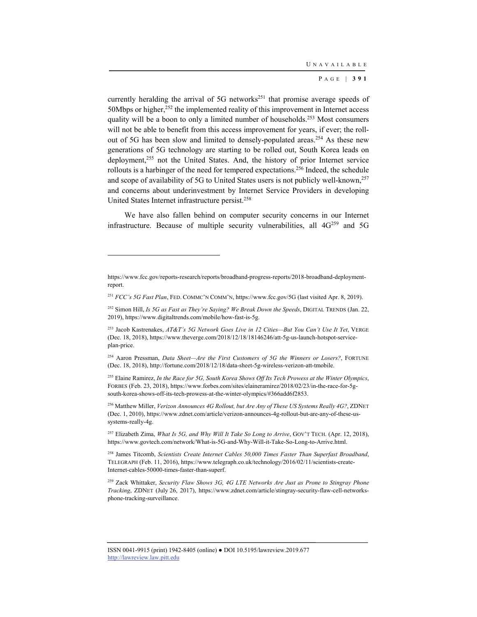currently heralding the arrival of 5G networks<sup>251</sup> that promise average speeds of 50Mbps or higher,<sup>252</sup> the implemented reality of this improvement in Internet access quality will be a boon to only a limited number of households.<sup>253</sup> Most consumers will not be able to benefit from this access improvement for years, if ever; the rollout of 5G has been slow and limited to densely-populated areas.<sup>254</sup> As these new generations of 5G technology are starting to be rolled out, South Korea leads on deployment,<sup>255</sup> not the United States. And, the history of prior Internet service rollouts is a harbinger of the need for tempered expectations.256 Indeed, the schedule and scope of availability of 5G to United States users is not publicly well-known,<sup>257</sup> and concerns about underinvestment by Internet Service Providers in developing United States Internet infrastructure persist.258

We have also fallen behind on computer security concerns in our Internet infrastructure. Because of multiple security vulnerabilities, all  $4G^{259}$  and  $5G$ 

l

257 Elizabeth Zima, *What Is 5G, and Why Will It Take So Long to Arrive*, GOV'T TECH. (Apr. 12, 2018), https://www.govtech.com/network/What-is-5G-and-Why-Will-it-Take-So-Long-to-Arrive.html.

258 James Titcomb, *Scientists Create Internet Cables 50,000 Times Faster Than Superfast Broadband*, TELEGRAPH (Feb. 11, 2016), https://www.telegraph.co.uk/technology/2016/02/11/scientists-create-Internet-cables-50000-times-faster-than-superf.

259 Zack Whittaker, *Security Flaw Shows 3G, 4G LTE Networks Are Just as Prone to Stingray Phone Tracking*, ZDNET (July 26, 2017), https://www.zdnet.com/article/stingray-security-flaw-cell-networksphone-tracking-surveillance.

https://www.fcc.gov/reports-research/reports/broadband-progress-reports/2018-broadband-deploymentreport.

<sup>251</sup> *FCC's 5G Fast Plan*, FED. COMMC'N COMM'N, https://www.fcc.gov/5G (last visited Apr. 8, 2019).

<sup>252</sup> Simon Hill, *Is 5G as Fast as They're Saying? We Break Down the Speeds*, DIGITAL TRENDS (Jan. 22, 2019), https://www.digitaltrends.com/mobile/how-fast-is-5g.

<sup>253</sup> Jacob Kastrenakes, *AT&T's 5G Network Goes Live in 12 Cities—But You Can't Use It Yet*, VERGE (Dec. 18, 2018), https://www.theverge.com/2018/12/18/18146246/att-5g-us-launch-hotspot-serviceplan-price.

<sup>254</sup> Aaron Pressman, *Data Sheet—Are the First Customers of 5G the Winners or Losers?*, FORTUNE (Dec. 18, 2018), http://fortune.com/2018/12/18/data-sheet-5g-wireless-verizon-att-tmobile.

<sup>255</sup> Elaine Ramirez, *In the Race for 5G, South Korea Shows Off Its Tech Prowess at the Winter Olympics*, FORBES (Feb. 23, 2018), https://www.forbes.com/sites/elaineramirez/2018/02/23/in-the-race-for-5gsouth-korea-shows-off-its-tech-prowess-at-the-winter-olympics/#366add6f2853.

<sup>256</sup> Matthew Miller, *Verizon Announces 4G Rollout, but Are Any of These US Systems Really 4G?*, ZDNET (Dec. 1, 2010), https://www.zdnet.com/article/verizon-announces-4g-rollout-but-are-any-of-these-ussystems-really-4g.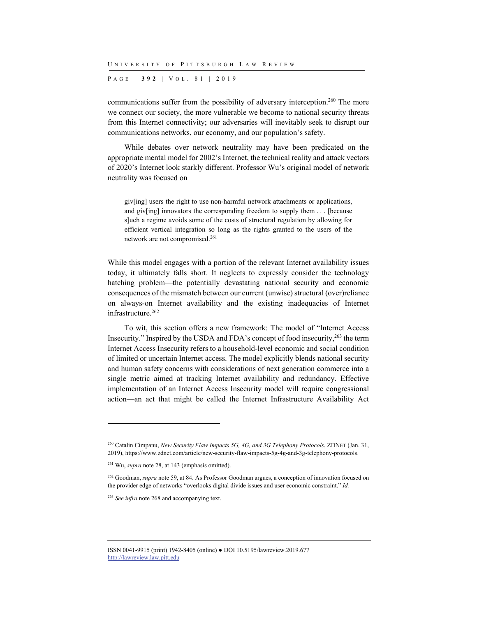P AGE | **392** | V O L . 8 1 | 2019

communications suffer from the possibility of adversary interception.<sup>260</sup> The more we connect our society, the more vulnerable we become to national security threats from this Internet connectivity; our adversaries will inevitably seek to disrupt our communications networks, our economy, and our population's safety.

While debates over network neutrality may have been predicated on the appropriate mental model for 2002's Internet, the technical reality and attack vectors of 2020's Internet look starkly different. Professor Wu's original model of network neutrality was focused on

giv[ing] users the right to use non-harmful network attachments or applications, and giv[ing] innovators the corresponding freedom to supply them . . . [because s]uch a regime avoids some of the costs of structural regulation by allowing for efficient vertical integration so long as the rights granted to the users of the network are not compromised.261

While this model engages with a portion of the relevant Internet availability issues today, it ultimately falls short. It neglects to expressly consider the technology hatching problem—the potentially devastating national security and economic consequences of the mismatch between our current (unwise) structural (over)reliance on always-on Internet availability and the existing inadequacies of Internet infrastructure.<sup>262</sup>

To wit, this section offers a new framework: The model of "Internet Access Insecurity." Inspired by the USDA and FDA's concept of food insecurity,263 the term Internet Access Insecurity refers to a household-level economic and social condition of limited or uncertain Internet access. The model explicitly blends national security and human safety concerns with considerations of next generation commerce into a single metric aimed at tracking Internet availability and redundancy. Effective implementation of an Internet Access Insecurity model will require congressional action—an act that might be called the Internet Infrastructure Availability Act

<sup>260</sup> Catalin Cimpanu, *New Security Flaw Impacts 5G, 4G, and 3G Telephony Protocols*, ZDNET (Jan. 31, 2019), https://www.zdnet.com/article/new-security-flaw-impacts-5g-4g-and-3g-telephony-protocols.

<sup>261</sup> Wu, *supra* note 28, at 143 (emphasis omitted).

<sup>262</sup> Goodman, *supra* note 59, at 84. As Professor Goodman argues, a conception of innovation focused on the provider edge of networks "overlooks digital divide issues and user economic constraint." *Id.*

<sup>263</sup> *See infra* note 268 and accompanying text.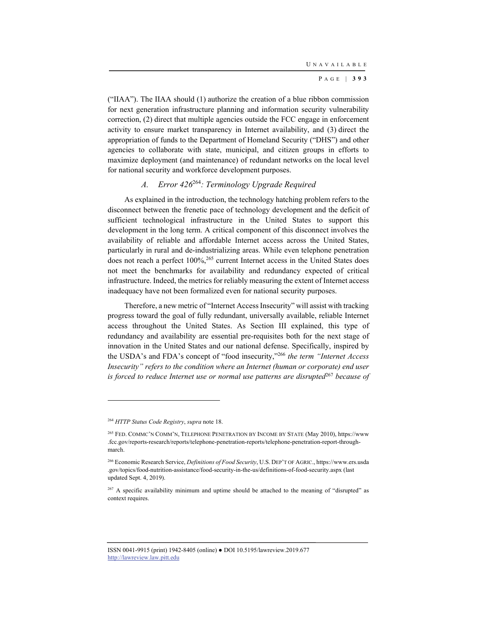("IIAA"). The IIAA should (1) authorize the creation of a blue ribbon commission for next generation infrastructure planning and information security vulnerability correction, (2) direct that multiple agencies outside the FCC engage in enforcement activity to ensure market transparency in Internet availability, and (3) direct the appropriation of funds to the Department of Homeland Security ("DHS") and other agencies to collaborate with state, municipal, and citizen groups in efforts to maximize deployment (and maintenance) of redundant networks on the local level for national security and workforce development purposes.

# *A. Error 426*<sup>264</sup>*: Terminology Upgrade Required*

As explained in the introduction, the technology hatching problem refers to the disconnect between the frenetic pace of technology development and the deficit of sufficient technological infrastructure in the United States to support this development in the long term. A critical component of this disconnect involves the availability of reliable and affordable Internet access across the United States, particularly in rural and de-industrializing areas. While even telephone penetration does not reach a perfect 100%,<sup>265</sup> current Internet access in the United States does not meet the benchmarks for availability and redundancy expected of critical infrastructure. Indeed, the metrics for reliably measuring the extent of Internet access inadequacy have not been formalized even for national security purposes.

Therefore, a new metric of "Internet Access Insecurity" will assist with tracking progress toward the goal of fully redundant, universally available, reliable Internet access throughout the United States. As Section III explained, this type of redundancy and availability are essential pre-requisites both for the next stage of innovation in the United States and our national defense. Specifically, inspired by the USDA's and FDA's concept of "food insecurity,"266 *the term "Internet Access Insecurity" refers to the condition where an Internet (human or corporate) end user is forced to reduce Internet use or normal use patterns are disrupted*<sup>267</sup> *because of* 

<sup>264</sup> *HTTP Status Code Registry*, *supra* note 18.

<sup>265</sup> FED. COMMC'N COMM'N, TELEPHONE PENETRATION BY INCOME BY STATE (May 2010), https://www .fcc.gov/reports-research/reports/telephone-penetration-reports/telephone-penetration-report-throughmarch.

<sup>266</sup> Economic Research Service, *Definitions of Food Security*, U.S. DEP'T OF AGRIC., https://www.ers.usda .gov/topics/food-nutrition-assistance/food-security-in-the-us/definitions-of-food-security.aspx (last updated Sept. 4, 2019).

<sup>&</sup>lt;sup>267</sup> A specific availability minimum and uptime should be attached to the meaning of "disrupted" as context requires.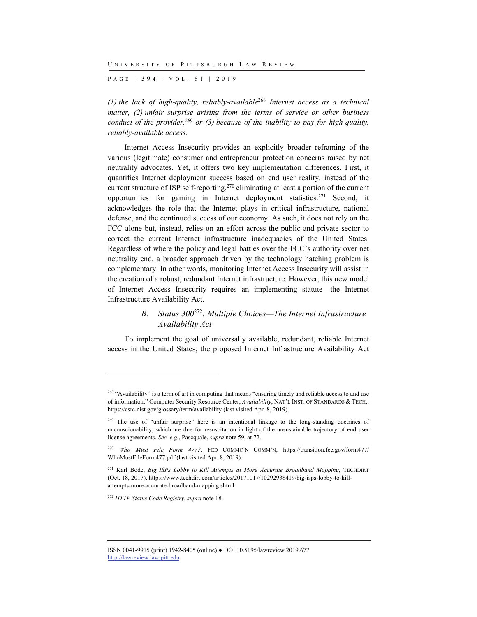P AGE | **394** | V O L . 8 1 | 2019

*(1) the lack of high-quality, reliably-available*<sup>268</sup> *Internet access as a technical matter, (2) unfair surprise arising from the terms of service or other business conduct of the provider,*<sup>269</sup> *or (3) because of the inability to pay for high-quality, reliably-available access.*

Internet Access Insecurity provides an explicitly broader reframing of the various (legitimate) consumer and entrepreneur protection concerns raised by net neutrality advocates. Yet, it offers two key implementation differences. First, it quantifies Internet deployment success based on end user reality, instead of the current structure of ISP self-reporting,<sup>270</sup> eliminating at least a portion of the current opportunities for gaming in Internet deployment statistics.271 Second, it acknowledges the role that the Internet plays in critical infrastructure, national defense, and the continued success of our economy. As such, it does not rely on the FCC alone but, instead, relies on an effort across the public and private sector to correct the current Internet infrastructure inadequacies of the United States. Regardless of where the policy and legal battles over the FCC's authority over net neutrality end, a broader approach driven by the technology hatching problem is complementary. In other words, monitoring Internet Access Insecurity will assist in the creation of a robust, redundant Internet infrastructure. However, this new model of Internet Access Insecurity requires an implementing statute—the Internet Infrastructure Availability Act.

## *B. Status 300*<sup>272</sup>*: Multiple Choices—The Internet Infrastructure Availability Act*

To implement the goal of universally available, redundant, reliable Internet access in the United States, the proposed Internet Infrastructure Availability Act

<sup>272</sup> *HTTP Status Code Registry*, *supra* note 18.

<sup>&</sup>lt;sup>268</sup> "Availability" is a term of art in computing that means "ensuring timely and reliable access to and use of information." Computer Security Resource Center, *Availability*, NAT'L INST. OF STANDARDS & TECH., https://csrc.nist.gov/glossary/term/availability (last visited Apr. 8, 2019).

<sup>&</sup>lt;sup>269</sup> The use of "unfair surprise" here is an intentional linkage to the long-standing doctrines of unconscionability, which are due for resuscitation in light of the unsustainable trajectory of end user license agreements. *See, e.g.*, Pascquale, *supra* note 59, at 72.

<sup>270</sup> *Who Must File Form 477?*, FED COMMC'N COMM'N, https://transition.fcc.gov/form477/ WhoMustFileForm477.pdf (last visited Apr. 8, 2019).

<sup>&</sup>lt;sup>271</sup> Karl Bode, *Big ISPs Lobby to Kill Attempts at More Accurate Broadband Mapping*, TECHDIRT (Oct. 18, 2017), https://www.techdirt.com/articles/20171017/10292938419/big-isps-lobby-to-killattempts-more-accurate-broadband-mapping.shtml.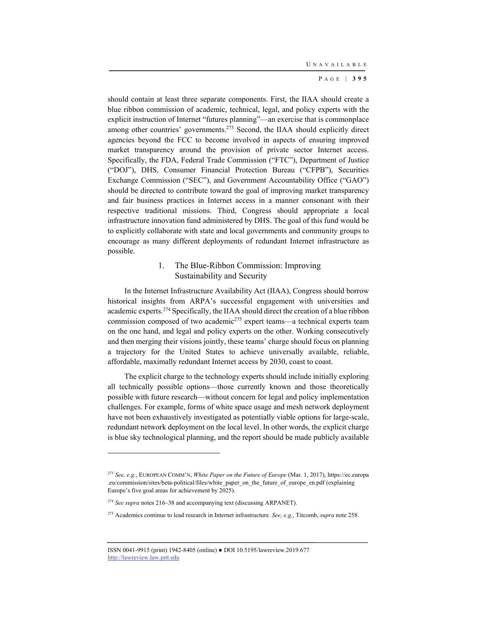should contain at least three separate components. First, the IIAA should create a blue ribbon commission of academic, technical, legal, and policy experts with the explicit instruction of Internet "futures planning"—an exercise that is commonplace among other countries' governments.<sup>273</sup> Second, the IIAA should explicitly direct agencies beyond the FCC to become involved in aspects of ensuring improved market transparency around the provision of private sector Internet access. Specifically, the FDA, Federal Trade Commission ("FTC"), Department of Justice ("DOJ"), DHS, Consumer Financial Protection Bureau ("CFPB"), Securities Exchange Commission ("SEC"), and Government Accountability Office ("GAO") should be directed to contribute toward the goal of improving market transparency and fair business practices in Internet access in a manner consonant with their respective traditional missions. Third, Congress should appropriate a local infrastructure innovation fund administered by DHS. The goal of this fund would be to explicitly collaborate with state and local governments and community groups to encourage as many different deployments of redundant Internet infrastructure as possible.

### 1. The Blue-Ribbon Commission: Improving Sustainability and Security

In the Internet Infrastructure Availability Act (IIAA), Congress should borrow historical insights from ARPA's successful engagement with universities and academic experts.<sup>274</sup> Specifically, the IIAA should direct the creation of a blue ribbon commission composed of two academic<sup>275</sup> expert teams—a technical experts team on the one hand, and legal and policy experts on the other. Working consecutively and then merging their visions jointly, these teams' charge should focus on planning a trajectory for the United States to achieve universally available, reliable, affordable, maximally redundant Internet access by 2030, coast to coast.

The explicit charge to the technology experts should include initially exploring all technically possible options—those currently known and those theoretically possible with future research—without concern for legal and policy implementation challenges. For example, forms of white space usage and mesh network deployment have not been exhaustively investigated as potentially viable options for large-scale, redundant network deployment on the local level. In other words, the explicit charge is blue sky technological planning, and the report should be made publicly available

<sup>273</sup> *See, e.g.*, EUROPEAN COMM'N, *White Paper on the Future of Europe* (Mar. 1, 2017), https://ec.europa .eu/commission/sites/beta-political/files/white\_paper\_on\_the\_future\_of\_europe\_en.pdf (explaining Europe's five goal areas for achievement by 2025).

<sup>274</sup> *See supra* notes 216–38 and accompanying text (discussing ARPANET).

<sup>275</sup> Academics continue to lead research in Internet infrastructure. *See, e.g.*, Titcomb, *supra* note 258.

ISSN 0041-9915 (print) 1942-8405 (online) ● DOI 10.5195/lawreview.2019.677 http://lawreview.law.pitt.edu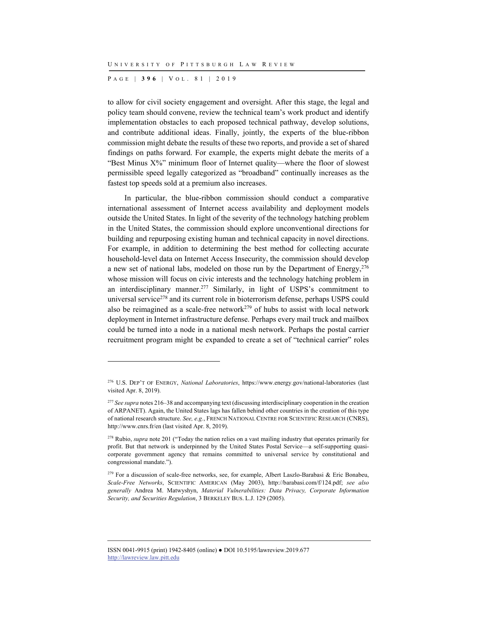P AGE | **396** | V O L . 8 1 | 2019

l

to allow for civil society engagement and oversight. After this stage, the legal and policy team should convene, review the technical team's work product and identify implementation obstacles to each proposed technical pathway, develop solutions, and contribute additional ideas. Finally, jointly, the experts of the blue-ribbon commission might debate the results of these two reports, and provide a set of shared findings on paths forward. For example, the experts might debate the merits of a "Best Minus X%" minimum floor of Internet quality—where the floor of slowest permissible speed legally categorized as "broadband" continually increases as the fastest top speeds sold at a premium also increases.

In particular, the blue-ribbon commission should conduct a comparative international assessment of Internet access availability and deployment models outside the United States. In light of the severity of the technology hatching problem in the United States, the commission should explore unconventional directions for building and repurposing existing human and technical capacity in novel directions. For example, in addition to determining the best method for collecting accurate household-level data on Internet Access Insecurity, the commission should develop a new set of national labs, modeled on those run by the Department of Energy,  $276$ whose mission will focus on civic interests and the technology hatching problem in an interdisciplinary manner.277 Similarly, in light of USPS's commitment to universal service<sup>278</sup> and its current role in bioterrorism defense, perhaps USPS could also be reimagined as a scale-free network $279$  of hubs to assist with local network deployment in Internet infrastructure defense. Perhaps every mail truck and mailbox could be turned into a node in a national mesh network. Perhaps the postal carrier recruitment program might be expanded to create a set of "technical carrier" roles

<sup>276</sup> U.S. DEP'T OF ENERGY, *National Laboratories*, https://www.energy.gov/national-laboratories (last visited Apr. 8, 2019).

<sup>277</sup> *See supra* notes 216–38 and accompanying text (discussing interdisciplinary cooperation in the creation of ARPANET). Again, the United States lags has fallen behind other countries in the creation of this type of national research structure. *See, e.g.*, FRENCH NATIONAL CENTRE FOR SCIENTIFIC RESEARCH (CNRS), http://www.cnrs.fr/en (last visited Apr. 8, 2019).

<sup>278</sup> Rubio, *supra* note 201 ("Today the nation relies on a vast mailing industry that operates primarily for profit. But that network is underpinned by the United States Postal Service—a self-supporting quasicorporate government agency that remains committed to universal service by constitutional and congressional mandate.").

<sup>&</sup>lt;sup>279</sup> For a discussion of scale-free networks, see, for example, Albert Laszlo-Barabasi & Eric Bonabeu, *Scale-Free Networks*, SCIENTIFIC AMERICAN (May 2003), http://barabasi.com/f/124.pdf; *see also generally* Andrea M. Matwyshyn, *Material Vulnerabilities: Data Privacy, Corporate Information Security, and Securities Regulation*, 3 BERKELEY BUS. L.J. 129 (2005).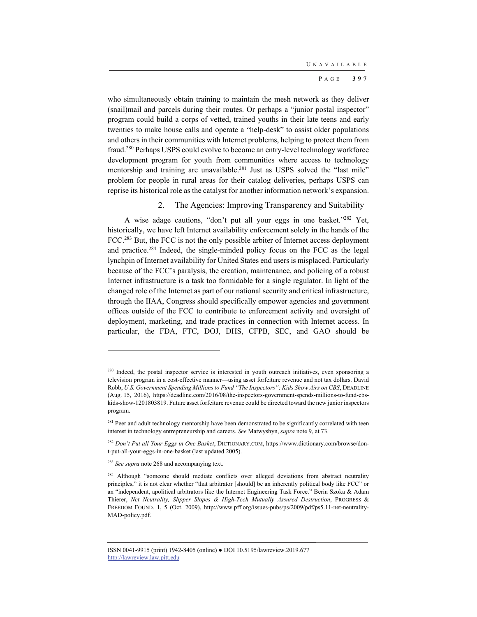who simultaneously obtain training to maintain the mesh network as they deliver (snail)mail and parcels during their routes. Or perhaps a "junior postal inspector" program could build a corps of vetted, trained youths in their late teens and early twenties to make house calls and operate a "help-desk" to assist older populations and others in their communities with Internet problems, helping to protect them from fraud.280 Perhaps USPS could evolve to become an entry-level technology workforce development program for youth from communities where access to technology mentorship and training are unavailable.<sup>281</sup> Just as USPS solved the "last mile" problem for people in rural areas for their catalog deliveries, perhaps USPS can reprise its historical role as the catalyst for another information network's expansion.

### 2. The Agencies: Improving Transparency and Suitability

A wise adage cautions, "don't put all your eggs in one basket."282 Yet, historically, we have left Internet availability enforcement solely in the hands of the FCC.<sup>283</sup> But, the FCC is not the only possible arbiter of Internet access deployment and practice.284 Indeed, the single-minded policy focus on the FCC as the legal lynchpin of Internet availability for United States end users is misplaced. Particularly because of the FCC's paralysis, the creation, maintenance, and policing of a robust Internet infrastructure is a task too formidable for a single regulator. In light of the changed role of the Internet as part of our national security and critical infrastructure, through the IIAA, Congress should specifically empower agencies and government offices outside of the FCC to contribute to enforcement activity and oversight of deployment, marketing, and trade practices in connection with Internet access. In particular, the FDA, FTC, DOJ, DHS, CFPB, SEC, and GAO should be

<sup>&</sup>lt;sup>280</sup> Indeed, the postal inspector service is interested in youth outreach initiatives, even sponsoring a television program in a cost-effective manner—using asset forfeiture revenue and not tax dollars. David Robb, *U.S. Government Spending Millions to Fund "The Inspectors"; Kids Show Airs on CBS*, DEADLINE (Aug. 15, 2016), https://deadline.com/2016/08/the-inspectors-government-spends-millions-to-fund-cbskids-show-1201803819. Future asset forfeiture revenue could be directed toward the new junior inspectors program.

<sup>&</sup>lt;sup>281</sup> Peer and adult technology mentorship have been demonstrated to be significantly correlated with teen interest in technology entrepreneurship and careers. *See* Matwyshyn, *supra* note 9, at 73.

<sup>282</sup> *Don't Put all Your Eggs in One Basket*, DICTIONARY.COM, https://www.dictionary.com/browse/dont-put-all-your-eggs-in-one-basket (last updated 2005).

<sup>283</sup> *See supra* note 268 and accompanying text.

<sup>&</sup>lt;sup>284</sup> Although "someone should mediate conflicts over alleged deviations from abstract neutrality principles," it is not clear whether "that arbitrator [should] be an inherently political body like FCC" or an "independent, apolitical arbitrators like the Internet Engineering Task Force." Berin Szoka & Adam Thierer, *Net Neutrality, Slipper Slopes & High-Tech Mutually Assured Destruction*, PROGRESS & FREEDOM FOUND. 1, 5 (Oct. 2009), http://www.pff.org/issues-pubs/ps/2009/pdf/ps5.11-net-neutrality-MAD-policy.pdf.

ISSN 0041-9915 (print) 1942-8405 (online) ● DOI 10.5195/lawreview.2019.677 http://lawreview.law.pitt.edu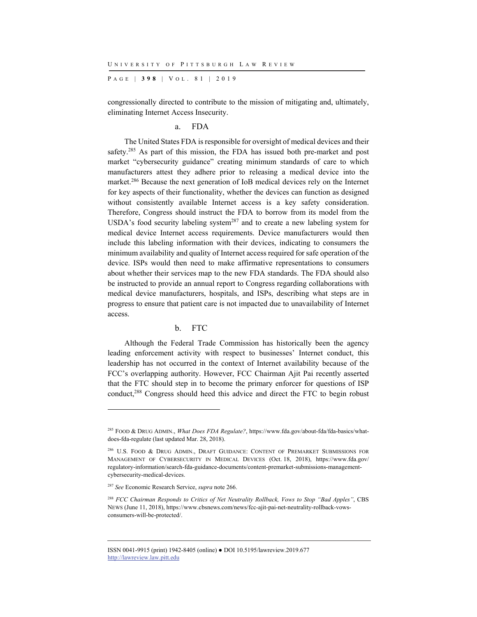P AGE | **398** | V O L . 8 1 | 2019

congressionally directed to contribute to the mission of mitigating and, ultimately, eliminating Internet Access Insecurity.

a. FDA

The United States FDA is responsible for oversight of medical devices and their safety.<sup>285</sup> As part of this mission, the FDA has issued both pre-market and post market "cybersecurity guidance" creating minimum standards of care to which manufacturers attest they adhere prior to releasing a medical device into the market.286 Because the next generation of IoB medical devices rely on the Internet for key aspects of their functionality, whether the devices can function as designed without consistently available Internet access is a key safety consideration. Therefore, Congress should instruct the FDA to borrow from its model from the USDA's food security labeling system<sup>287</sup> and to create a new labeling system for medical device Internet access requirements. Device manufacturers would then include this labeling information with their devices, indicating to consumers the minimum availability and quality of Internet access required for safe operation of the device. ISPs would then need to make affirmative representations to consumers about whether their services map to the new FDA standards. The FDA should also be instructed to provide an annual report to Congress regarding collaborations with medical device manufacturers, hospitals, and ISPs, describing what steps are in progress to ensure that patient care is not impacted due to unavailability of Internet access.

#### b. FTC

Although the Federal Trade Commission has historically been the agency leading enforcement activity with respect to businesses' Internet conduct, this leadership has not occurred in the context of Internet availability because of the FCC's overlapping authority. However, FCC Chairman Ajit Pai recently asserted that the FTC should step in to become the primary enforcer for questions of ISP conduct,<sup>288</sup> Congress should heed this advice and direct the FTC to begin robust

l

<sup>285</sup> FOOD & DRUG ADMIN., *What Does FDA Regulate?*, https://www.fda.gov/about-fda/fda-basics/whatdoes-fda-regulate (last updated Mar. 28, 2018).

<sup>&</sup>lt;sup>286</sup> U.S. FOOD & DRUG ADMIN., DRAFT GUIDANCE: CONTENT OF PREMARKET SUBMISSIONS FOR MANAGEMENT OF CYBERSECURITY IN MEDICAL DEVICES (Oct. 18, 2018), https://www.fda.gov/ regulatory-information/search-fda-guidance-documents/content-premarket-submissions-managementcybersecurity-medical-devices.

<sup>287</sup> *See* Economic Research Service, *supra* note 266.

<sup>288</sup> *FCC Chairman Responds to Critics of Net Neutrality Rollback, Vows to Stop "Bad Apples"*, CBS NEWS (June 11, 2018), https://www.cbsnews.com/news/fcc-ajit-pai-net-neutrality-rollback-vowsconsumers-will-be-protected/.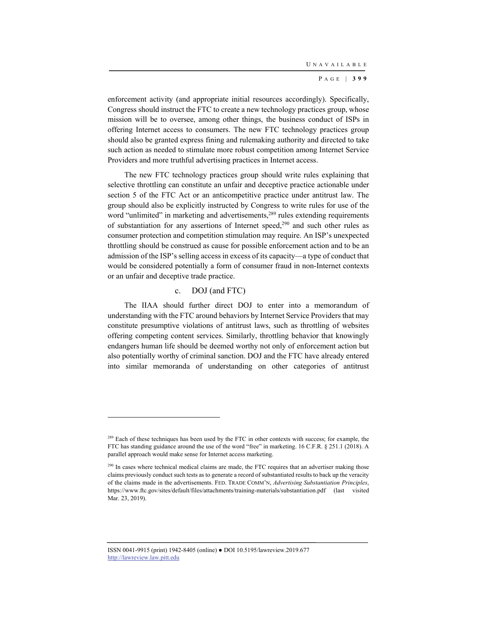enforcement activity (and appropriate initial resources accordingly). Specifically, Congress should instruct the FTC to create a new technology practices group, whose mission will be to oversee, among other things, the business conduct of ISPs in offering Internet access to consumers. The new FTC technology practices group should also be granted express fining and rulemaking authority and directed to take such action as needed to stimulate more robust competition among Internet Service Providers and more truthful advertising practices in Internet access.

The new FTC technology practices group should write rules explaining that selective throttling can constitute an unfair and deceptive practice actionable under section 5 of the FTC Act or an anticompetitive practice under antitrust law. The group should also be explicitly instructed by Congress to write rules for use of the word "unlimited" in marketing and advertisements,<sup>289</sup> rules extending requirements of substantiation for any assertions of Internet speed,<sup>290</sup> and such other rules as consumer protection and competition stimulation may require. An ISP's unexpected throttling should be construed as cause for possible enforcement action and to be an admission of the ISP's selling access in excess of its capacity—a type of conduct that would be considered potentially a form of consumer fraud in non-Internet contexts or an unfair and deceptive trade practice.

### c. DOJ (and FTC)

The IIAA should further direct DOJ to enter into a memorandum of understanding with the FTC around behaviors by Internet Service Providers that may constitute presumptive violations of antitrust laws, such as throttling of websites offering competing content services. Similarly, throttling behavior that knowingly endangers human life should be deemed worthy not only of enforcement action but also potentially worthy of criminal sanction. DOJ and the FTC have already entered into similar memoranda of understanding on other categories of antitrust

ISSN 0041-9915 (print) 1942-8405 (online) ● DOI 10.5195/lawreview.2019.677 http://lawreview.law.pitt.edu

<sup>&</sup>lt;sup>289</sup> Each of these techniques has been used by the FTC in other contexts with success; for example, the FTC has standing guidance around the use of the word "free" in marketing. 16 C.F.R. § 251.1 (2018). A parallel approach would make sense for Internet access marketing.

<sup>&</sup>lt;sup>290</sup> In cases where technical medical claims are made, the FTC requires that an advertiser making those claims previously conduct such tests as to generate a record of substantiated results to back up the veracity of the claims made in the advertisements. FED. TRADE COMM'N, *Advertising Substantiation Principles*, https://www.ftc.gov/sites/default/files/attachments/training-materials/substantiation.pdf (last visited Mar. 23, 2019).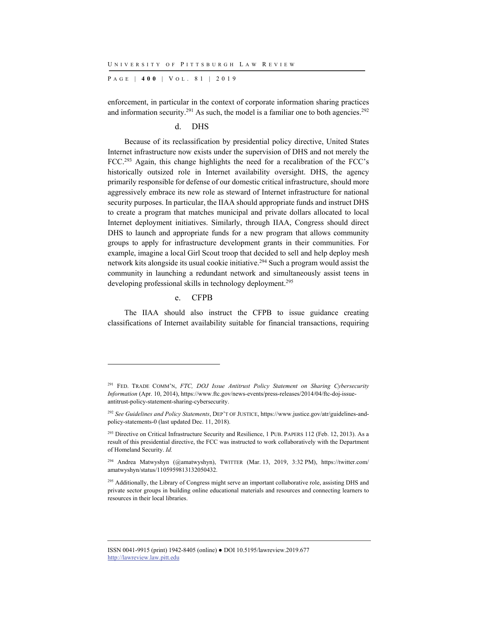P AGE | **400** | V O L . 8 1 | 2019

enforcement, in particular in the context of corporate information sharing practices and information security.<sup>291</sup> As such, the model is a familiar one to both agencies.<sup>292</sup>

## d. DHS

Because of its reclassification by presidential policy directive, United States Internet infrastructure now exists under the supervision of DHS and not merely the FCC.<sup>293</sup> Again, this change highlights the need for a recalibration of the FCC's historically outsized role in Internet availability oversight. DHS, the agency primarily responsible for defense of our domestic critical infrastructure, should more aggressively embrace its new role as steward of Internet infrastructure for national security purposes. In particular, the IIAA should appropriate funds and instruct DHS to create a program that matches municipal and private dollars allocated to local Internet deployment initiatives. Similarly, through IIAA, Congress should direct DHS to launch and appropriate funds for a new program that allows community groups to apply for infrastructure development grants in their communities. For example, imagine a local Girl Scout troop that decided to sell and help deploy mesh network kits alongside its usual cookie initiative.294 Such a program would assist the community in launching a redundant network and simultaneously assist teens in developing professional skills in technology deployment.<sup>295</sup>

#### e. CFPB

l

The IIAA should also instruct the CFPB to issue guidance creating classifications of Internet availability suitable for financial transactions, requiring

<sup>291</sup> FED. TRADE COMM'N, *FTC, DOJ Issue Antitrust Policy Statement on Sharing Cybersecurity Information* (Apr. 10, 2014), https://www.ftc.gov/news-events/press-releases/2014/04/ftc-doj-issueantitrust-policy-statement-sharing-cybersecurity.

<sup>292</sup> *See Guidelines and Policy Statements*, DEP'T OF JUSTICE, https://www.justice.gov/atr/guidelines-andpolicy-statements-0 (last updated Dec. 11, 2018).

<sup>&</sup>lt;sup>293</sup> Directive on Critical Infrastructure Security and Resilience, 1 PUB. PAPERS 112 (Feb. 12, 2013). As a result of this presidential directive, the FCC was instructed to work collaboratively with the Department of Homeland Security. *Id.*

<sup>294</sup> Andrea Matwyshyn (@amatwyshyn), TWITTER (Mar. 13, 2019, 3:32 PM), https://twitter.com/ amatwyshyn/status/1105959813132050432.

<sup>&</sup>lt;sup>295</sup> Additionally, the Library of Congress might serve an important collaborative role, assisting DHS and private sector groups in building online educational materials and resources and connecting learners to resources in their local libraries.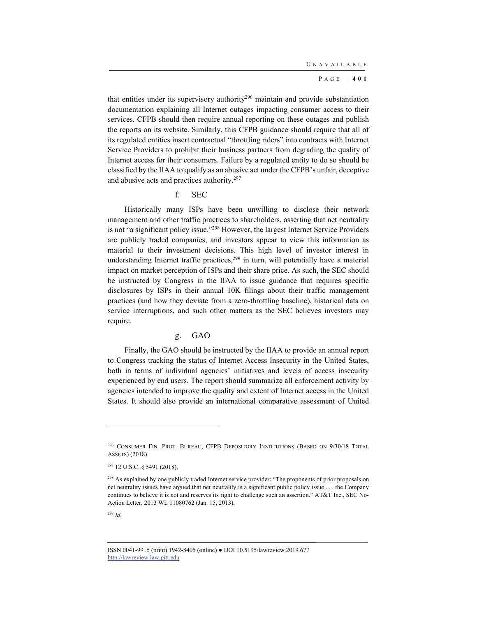that entities under its supervisory authority<sup>296</sup> maintain and provide substantiation documentation explaining all Internet outages impacting consumer access to their services. CFPB should then require annual reporting on these outages and publish the reports on its website. Similarly, this CFPB guidance should require that all of its regulated entities insert contractual "throttling riders" into contracts with Internet Service Providers to prohibit their business partners from degrading the quality of Internet access for their consumers. Failure by a regulated entity to do so should be classified by the IIAA to qualify as an abusive act under the CFPB's unfair, deceptive and abusive acts and practices authority.297

f. SEC

Historically many ISPs have been unwilling to disclose their network management and other traffic practices to shareholders, asserting that net neutrality is not "a significant policy issue."298 However, the largest Internet Service Providers are publicly traded companies, and investors appear to view this information as material to their investment decisions. This high level of investor interest in understanding Internet traffic practices, $299$  in turn, will potentially have a material impact on market perception of ISPs and their share price. As such, the SEC should be instructed by Congress in the IIAA to issue guidance that requires specific disclosures by ISPs in their annual 10K filings about their traffic management practices (and how they deviate from a zero-throttling baseline), historical data on service interruptions, and such other matters as the SEC believes investors may require.

### g. GAO

Finally, the GAO should be instructed by the IIAA to provide an annual report to Congress tracking the status of Internet Access Insecurity in the United States, both in terms of individual agencies' initiatives and levels of access insecurity experienced by end users. The report should summarize all enforcement activity by agencies intended to improve the quality and extent of Internet access in the United States. It should also provide an international comparative assessment of United

l

<sup>296</sup> CONSUMER FIN. PROT. BUREAU, CFPB DEPOSITORY INSTITUTIONS (BASED ON 9/30/18 TOTAL ASSETS) (2018).

<sup>297 12</sup> U.S.C. § 5491 (2018).

<sup>&</sup>lt;sup>298</sup> As explained by one publicly traded Internet service provider: "The proponents of prior proposals on net neutrality issues have argued that net neutrality is a significant public policy issue . . . the Company continues to believe it is not and reserves its right to challenge such an assertion." AT&T Inc., SEC No-Action Letter, 2013 WL 11080762 (Jan. 15, 2013).

<sup>299</sup> *Id.*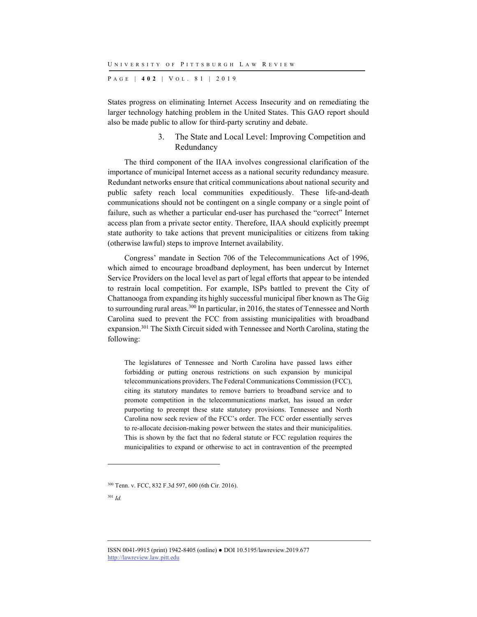P AGE | **402** | V O L . 8 1 | 2019

States progress on eliminating Internet Access Insecurity and on remediating the larger technology hatching problem in the United States. This GAO report should also be made public to allow for third-party scrutiny and debate.

### 3. The State and Local Level: Improving Competition and Redundancy

The third component of the IIAA involves congressional clarification of the importance of municipal Internet access as a national security redundancy measure. Redundant networks ensure that critical communications about national security and public safety reach local communities expeditiously. These life-and-death communications should not be contingent on a single company or a single point of failure, such as whether a particular end-user has purchased the "correct" Internet access plan from a private sector entity. Therefore, IIAA should explicitly preempt state authority to take actions that prevent municipalities or citizens from taking (otherwise lawful) steps to improve Internet availability.

Congress' mandate in Section 706 of the Telecommunications Act of 1996, which aimed to encourage broadband deployment, has been undercut by Internet Service Providers on the local level as part of legal efforts that appear to be intended to restrain local competition. For example, ISPs battled to prevent the City of Chattanooga from expanding its highly successful municipal fiber known as The Gig to surrounding rural areas.<sup>300</sup> In particular, in 2016, the states of Tennessee and North Carolina sued to prevent the FCC from assisting municipalities with broadband expansion.301 The Sixth Circuit sided with Tennessee and North Carolina, stating the following:

The legislatures of Tennessee and North Carolina have passed laws either forbidding or putting onerous restrictions on such expansion by municipal telecommunications providers. The Federal Communications Commission (FCC), citing its statutory mandates to remove barriers to broadband service and to promote competition in the telecommunications market, has issued an order purporting to preempt these state statutory provisions. Tennessee and North Carolina now seek review of the FCC's order. The FCC order essentially serves to re-allocate decision-making power between the states and their municipalities. This is shown by the fact that no federal statute or FCC regulation requires the municipalities to expand or otherwise to act in contravention of the preempted

l

<sup>300</sup> Tenn. v. FCC, 832 F.3d 597, 600 (6th Cir. 2016).

<sup>301</sup> *Id.*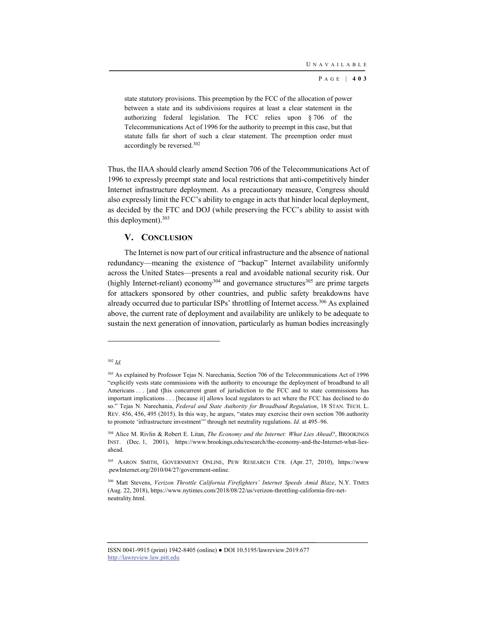state statutory provisions. This preemption by the FCC of the allocation of power between a state and its subdivisions requires at least a clear statement in the authorizing federal legislation. The FCC relies upon § 706 of the Telecommunications Act of 1996 for the authority to preempt in this case, but that statute falls far short of such a clear statement. The preemption order must accordingly be reversed.302

Thus, the IIAA should clearly amend Section 706 of the Telecommunications Act of 1996 to expressly preempt state and local restrictions that anti-competitively hinder Internet infrastructure deployment. As a precautionary measure, Congress should also expressly limit the FCC's ability to engage in acts that hinder local deployment, as decided by the FTC and DOJ (while preserving the FCC's ability to assist with this deployment).303

## **V. CONCLUSION**

The Internet is now part of our critical infrastructure and the absence of national redundancy—meaning the existence of "backup" Internet availability uniformly across the United States—presents a real and avoidable national security risk. Our (highly Internet-reliant) economy<sup>304</sup> and governance structures<sup>305</sup> are prime targets for attackers sponsored by other countries, and public safety breakdowns have already occurred due to particular ISPs' throttling of Internet access.<sup>306</sup> As explained above, the current rate of deployment and availability are unlikely to be adequate to sustain the next generation of innovation, particularly as human bodies increasingly

<sup>302</sup> *Id.*

<sup>&</sup>lt;sup>303</sup> As explained by Professor Tejas N. Narechania, Section 706 of the Telecommunications Act of 1996 "explicitly vests state commissions with the authority to encourage the deployment of broadband to all Americans . . . [and t]his concurrent grant of jurisdiction to the FCC and to state commissions has important implications . . . [because it] allows local regulators to act where the FCC has declined to do so." Tejas N. Narechania, *Federal and State Authority for Broadband Regulation*, 18 STAN. TECH. L. REV. 456, 456, 495 (2015). In this way, he argues, "states may exercise their own section 706 authority to promote 'infrastructure investment'" through net neutrality regulations. *Id.* at 495–96.

<sup>304</sup> Alice M. Rivlin & Robert E. Litan, *The Economy and the Internet: What Lies Ahead?*, BROOKINGS INST. (Dec. 1, 2001), https://www.brookings.edu/research/the-economy-and-the-Internet-what-liesahead.

<sup>305</sup> AARON SMITH, GOVERNMENT ONLINE, PEW RESEARCH CTR. (Apr. 27, 2010), https://www .pewInternet.org/2010/04/27/government-online.

<sup>306</sup> Matt Stevens, *Verizon Throttle California Firefighters' Internet Speeds Amid Blaze*, N.Y. TIMES (Aug. 22, 2018), https://www.nytimes.com/2018/08/22/us/verizon-throttling-california-fire-netneutrality.html.